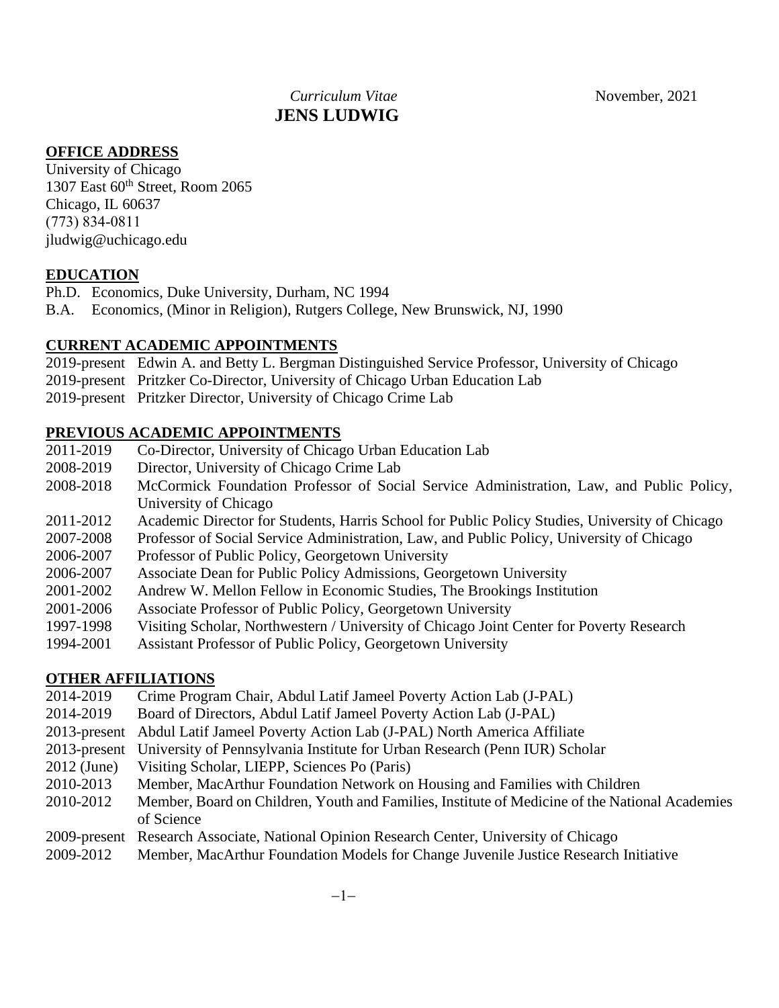# *Curriculum Vitae* November, 2021 **JENS LUDWIG**

### **OFFICE ADDRESS**

University of Chicago 1307 East  $60<sup>th</sup>$  Street, Room 2065 Chicago, IL 60637 (773) 834-0811 jludwig@uchicago.edu

### **EDUCATION**

- Ph.D. Economics, Duke University, Durham, NC 1994
- B.A. Economics, (Minor in Religion), Rutgers College, New Brunswick, NJ, 1990

#### **CURRENT ACADEMIC APPOINTMENTS**

- 2019-present Edwin A. and Betty L. Bergman Distinguished Service Professor, University of Chicago
- 2019-present Pritzker Co-Director, University of Chicago Urban Education Lab
- 2019-present Pritzker Director, University of Chicago Crime Lab

#### **PREVIOUS ACADEMIC APPOINTMENTS**

- 2011-2019 Co-Director, University of Chicago Urban Education Lab
- 2008-2019 Director, University of Chicago Crime Lab
- 2008-2018 McCormick Foundation Professor of Social Service Administration, Law, and Public Policy, University of Chicago
- 2011-2012 Academic Director for Students, Harris School for Public Policy Studies, University of Chicago
- 2007-2008 Professor of Social Service Administration, Law, and Public Policy, University of Chicago
- 2006-2007 Professor of Public Policy, Georgetown University
- 2006-2007 Associate Dean for Public Policy Admissions, Georgetown University
- 2001-2002 Andrew W. Mellon Fellow in Economic Studies, The Brookings Institution
- 2001-2006 Associate Professor of Public Policy, Georgetown University
- 1997-1998 Visiting Scholar, Northwestern / University of Chicago Joint Center for Poverty Research
- 1994-2001 Assistant Professor of Public Policy, Georgetown University

### **OTHER AFFILIATIONS**

- 2014-2019 Crime Program Chair, Abdul Latif Jameel Poverty Action Lab (J-PAL)
- 2014-2019 Board of Directors, Abdul Latif Jameel Poverty Action Lab (J-PAL)
- 2013-present Abdul Latif Jameel Poverty Action Lab (J-PAL) North America Affiliate
- 2013-present University of Pennsylvania Institute for Urban Research (Penn IUR) Scholar
- 2012 (June) Visiting Scholar, LIEPP, Sciences Po (Paris)
- 2010-2013 Member, MacArthur Foundation Network on Housing and Families with Children
- 2010-2012 Member, Board on Children, Youth and Families, Institute of Medicine of the National Academies of Science
- 2009-present Research Associate, National Opinion Research Center, University of Chicago
- 2009-2012 Member, MacArthur Foundation Models for Change Juvenile Justice Research Initiative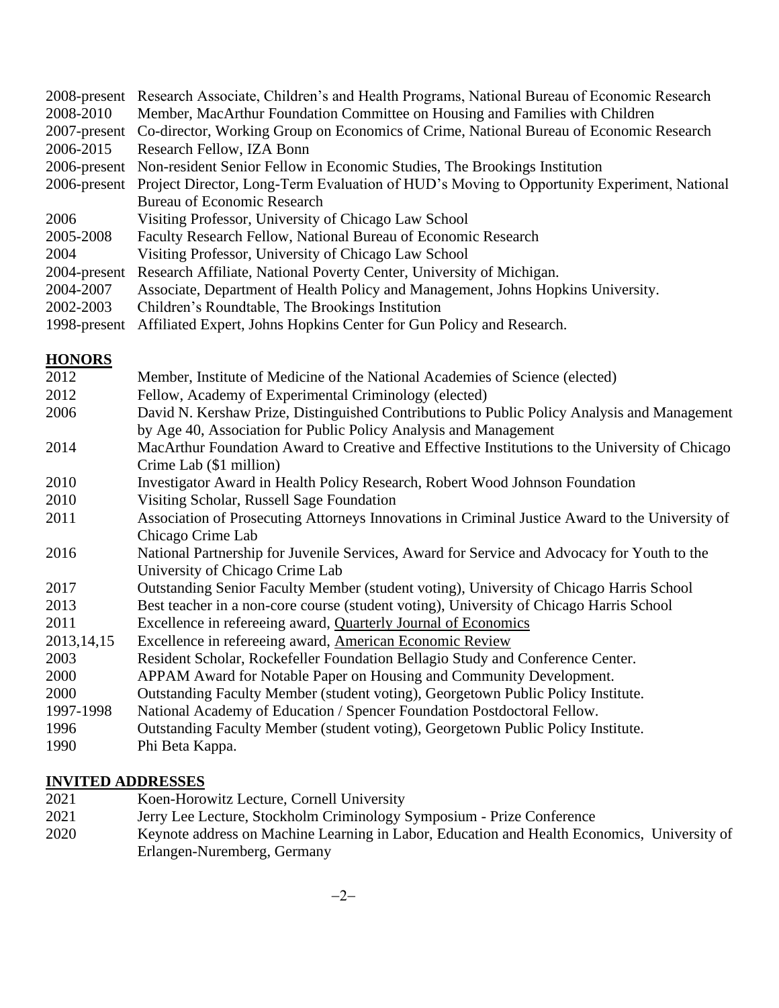|              | 2008-present Research Associate, Children's and Health Programs, National Bureau of Economic Research   |
|--------------|---------------------------------------------------------------------------------------------------------|
| 2008-2010    | Member, MacArthur Foundation Committee on Housing and Families with Children                            |
|              | 2007-present Co-director, Working Group on Economics of Crime, National Bureau of Economic Research     |
| 2006-2015    | Research Fellow, IZA Bonn                                                                               |
|              | 2006-present Non-resident Senior Fellow in Economic Studies, The Brookings Institution                  |
|              | 2006-present Project Director, Long-Term Evaluation of HUD's Moving to Opportunity Experiment, National |
|              | <b>Bureau of Economic Research</b>                                                                      |
| 2006         | Visiting Professor, University of Chicago Law School                                                    |
| 2005-2008    | Faculty Research Fellow, National Bureau of Economic Research                                           |
| 2004         | Visiting Professor, University of Chicago Law School                                                    |
| 2004-present | Research Affiliate, National Poverty Center, University of Michigan.                                    |
| 2004-2007    | Associate, Department of Health Policy and Management, Johns Hopkins University.                        |
| 2002-2003    | Children's Roundtable, The Brookings Institution                                                        |
|              | 1998-present Affiliated Expert, Johns Hopkins Center for Gun Policy and Research.                       |

# **HONORS**

| 2012         | Member, Institute of Medicine of the National Academies of Science (elected)                    |
|--------------|-------------------------------------------------------------------------------------------------|
| 2012         | Fellow, Academy of Experimental Criminology (elected)                                           |
| 2006         | David N. Kershaw Prize, Distinguished Contributions to Public Policy Analysis and Management    |
|              | by Age 40, Association for Public Policy Analysis and Management                                |
| 2014         | MacArthur Foundation Award to Creative and Effective Institutions to the University of Chicago  |
|              | Crime Lab (\$1 million)                                                                         |
| 2010         | Investigator Award in Health Policy Research, Robert Wood Johnson Foundation                    |
| 2010         | Visiting Scholar, Russell Sage Foundation                                                       |
| 2011         | Association of Prosecuting Attorneys Innovations in Criminal Justice Award to the University of |
|              | Chicago Crime Lab                                                                               |
| 2016         | National Partnership for Juvenile Services, Award for Service and Advocacy for Youth to the     |
|              | University of Chicago Crime Lab                                                                 |
| 2017         | Outstanding Senior Faculty Member (student voting), University of Chicago Harris School         |
| 2013         | Best teacher in a non-core course (student voting), University of Chicago Harris School         |
| 2011         | Excellence in refereeing award, Quarterly Journal of Economics                                  |
| 2013, 14, 15 | Excellence in refereeing award, American Economic Review                                        |
| 2003         | Resident Scholar, Rockefeller Foundation Bellagio Study and Conference Center.                  |
| 2000         | APPAM Award for Notable Paper on Housing and Community Development.                             |
| 2000         | Outstanding Faculty Member (student voting), Georgetown Public Policy Institute.                |
| 1997-1998    | National Academy of Education / Spencer Foundation Postdoctoral Fellow.                         |
| 1996         | Outstanding Faculty Member (student voting), Georgetown Public Policy Institute.                |
| 1990         | Phi Beta Kappa.                                                                                 |
|              |                                                                                                 |

## **INVITED ADDRESSES**

- 2021 Koen-Horowitz Lecture, Cornell University
- 2021 Jerry Lee Lecture, Stockholm Criminology Symposium Prize Conference<br>2020 Keynote address on Machine Learning in Labor, Education and Health Econ
- 2020 Keynote address on Machine Learning in Labor, Education and Health Economics, University of Erlangen-Nuremberg, Germany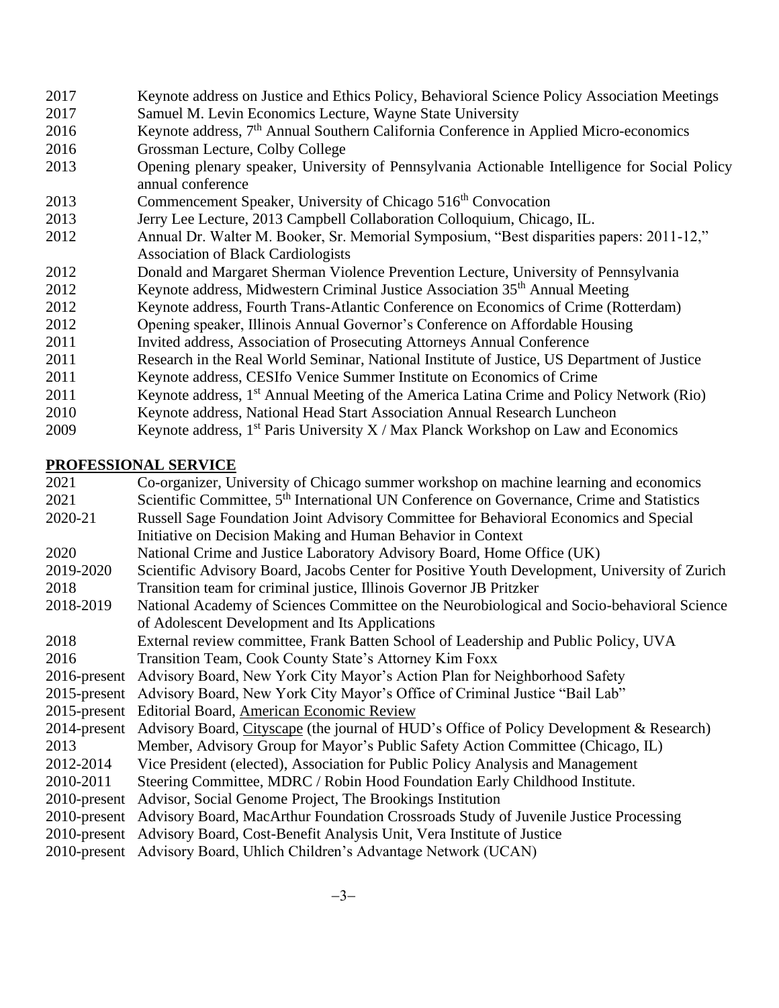| 2017 | Keynote address on Justice and Ethics Policy, Behavioral Science Policy Association Meetings                       |
|------|--------------------------------------------------------------------------------------------------------------------|
| 2017 | Samuel M. Levin Economics Lecture, Wayne State University                                                          |
| 2016 | Keynote address, 7 <sup>th</sup> Annual Southern California Conference in Applied Micro-economics                  |
| 2016 | Grossman Lecture, Colby College                                                                                    |
| 2013 | Opening plenary speaker, University of Pennsylvania Actionable Intelligence for Social Policy<br>annual conference |
| 2013 | Commencement Speaker, University of Chicago 516 <sup>th</sup> Convocation                                          |
| 2013 | Jerry Lee Lecture, 2013 Campbell Collaboration Colloquium, Chicago, IL.                                            |
| 2012 | Annual Dr. Walter M. Booker, Sr. Memorial Symposium, "Best disparities papers: 2011-12,"                           |
|      | <b>Association of Black Cardiologists</b>                                                                          |
| 2012 | Donald and Margaret Sherman Violence Prevention Lecture, University of Pennsylvania                                |
| 2012 | Keynote address, Midwestern Criminal Justice Association 35 <sup>th</sup> Annual Meeting                           |
| 2012 | Keynote address, Fourth Trans-Atlantic Conference on Economics of Crime (Rotterdam)                                |
| 2012 | Opening speaker, Illinois Annual Governor's Conference on Affordable Housing                                       |
| 2011 | Invited address, Association of Prosecuting Attorneys Annual Conference                                            |
| 2011 | Research in the Real World Seminar, National Institute of Justice, US Department of Justice                        |
| 2011 | Keynote address, CESIfo Venice Summer Institute on Economics of Crime                                              |
| 2011 | Keynote address, 1 <sup>st</sup> Annual Meeting of the America Latina Crime and Policy Network (Rio)               |

- 2010 Keynote address, National Head Start Association Annual Research Luncheon
- 2009 Keynote address,  $1^{st}$  Paris University X / Max Planck Workshop on Law and Economics

### **PROFESSIONAL SERVICE**

2021 Co-organizer, University of Chicago summer workshop on machine learning and economics 2021 Scientific Committee, 5<sup>th</sup> International UN Conference on Governance, Crime and Statistics 2020-21 Russell Sage Foundation Joint Advisory Committee for Behavioral Economics and Special Initiative on Decision Making and Human Behavior in Context 2020 National Crime and Justice Laboratory Advisory Board, Home Office (UK) 2019-2020 Scientific Advisory Board, Jacobs Center for Positive Youth Development, University of Zurich 2018 Transition team for criminal justice, Illinois Governor JB Pritzker 2018-2019 National Academy of Sciences Committee on the Neurobiological and Socio-behavioral Science of Adolescent Development and Its Applications 2018 External review committee, Frank Batten School of Leadership and Public Policy, UVA 2016 Transition Team, Cook County State's Attorney Kim Foxx 2016-present Advisory Board, New York City Mayor's Action Plan for Neighborhood Safety 2015-present Advisory Board, New York City Mayor's Office of Criminal Justice "Bail Lab" 2015-present Editorial Board, American Economic Review 2014-present Advisory Board, Cityscape (the journal of HUD's Office of Policy Development & Research) 2013 Member, Advisory Group for Mayor's Public Safety Action Committee (Chicago, IL) 2012-2014 Vice President (elected), Association for Public Policy Analysis and Management 2010-2011 Steering Committee, MDRC / Robin Hood Foundation Early Childhood Institute. 2010-present Advisor, Social Genome Project, The Brookings Institution 2010-present Advisory Board, MacArthur Foundation Crossroads Study of Juvenile Justice Processing 2010-present Advisory Board, Cost-Benefit Analysis Unit, Vera Institute of Justice 2010-present Advisory Board, Uhlich Children's Advantage Network (UCAN)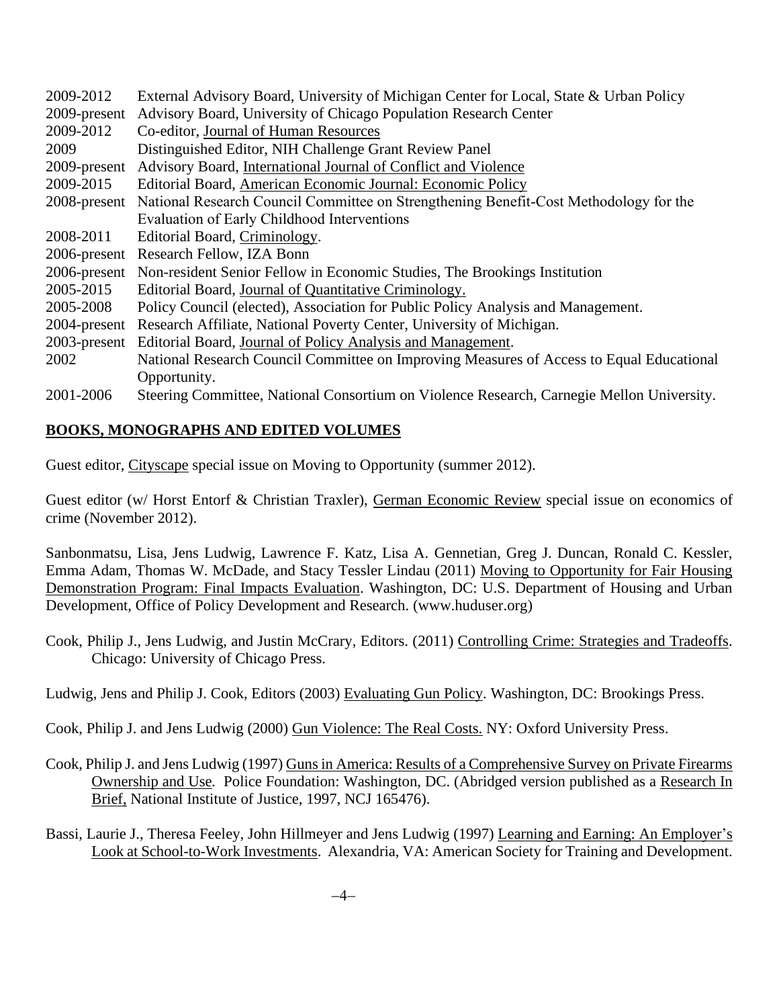| 2009-2012    | External Advisory Board, University of Michigan Center for Local, State & Urban Policy    |
|--------------|-------------------------------------------------------------------------------------------|
| 2009-present | Advisory Board, University of Chicago Population Research Center                          |
| 2009-2012    | Co-editor, Journal of Human Resources                                                     |
| 2009         | Distinguished Editor, NIH Challenge Grant Review Panel                                    |
| 2009-present | Advisory Board, International Journal of Conflict and Violence                            |
| 2009-2015    | Editorial Board, American Economic Journal: Economic Policy                               |
| 2008-present | National Research Council Committee on Strengthening Benefit-Cost Methodology for the     |
|              | Evaluation of Early Childhood Interventions                                               |
| 2008-2011    | Editorial Board, Criminology.                                                             |
|              | 2006-present Research Fellow, IZA Bonn                                                    |
|              | 2006-present Non-resident Senior Fellow in Economic Studies, The Brookings Institution    |
| 2005-2015    | Editorial Board, Journal of Quantitative Criminology.                                     |
| 2005-2008    | Policy Council (elected), Association for Public Policy Analysis and Management.          |
|              | 2004-present Research Affiliate, National Poverty Center, University of Michigan.         |
|              | 2003-present Editorial Board, Journal of Policy Analysis and Management.                  |
| 2002         | National Research Council Committee on Improving Measures of Access to Equal Educational  |
|              | Opportunity.                                                                              |
| 2001-2006    | Steering Committee, National Consortium on Violence Research, Carnegie Mellon University. |

## **BOOKS, MONOGRAPHS AND EDITED VOLUMES**

Guest editor, Cityscape special issue on Moving to Opportunity (summer 2012).

Guest editor (w/ Horst Entorf & Christian Traxler), German Economic Review special issue on economics of crime (November 2012).

Sanbonmatsu, Lisa, Jens Ludwig, Lawrence F. Katz, Lisa A. Gennetian, Greg J. Duncan, Ronald C. Kessler, Emma Adam, Thomas W. McDade, and Stacy Tessler Lindau (2011) Moving to Opportunity for Fair Housing Demonstration Program: Final Impacts Evaluation. Washington, DC: U.S. Department of Housing and Urban Development, Office of Policy Development and Research. (www.huduser.org)

Cook, Philip J., Jens Ludwig, and Justin McCrary, Editors. (2011) Controlling Crime: Strategies and Tradeoffs. Chicago: University of Chicago Press.

Ludwig, Jens and Philip J. Cook, Editors (2003) Evaluating Gun Policy. Washington, DC: Brookings Press.

Cook, Philip J. and Jens Ludwig (2000) Gun Violence: The Real Costs. NY: Oxford University Press.

- Cook, Philip J. and Jens Ludwig (1997) Guns in America: Results of a Comprehensive Survey on Private Firearms Ownership and Use*.* Police Foundation: Washington, DC. (Abridged version published as a Research In Brief, National Institute of Justice, 1997, NCJ 165476).
- Bassi, Laurie J., Theresa Feeley, John Hillmeyer and Jens Ludwig (1997) Learning and Earning: An Employer's Look at School-to-Work Investments. Alexandria, VA: American Society for Training and Development.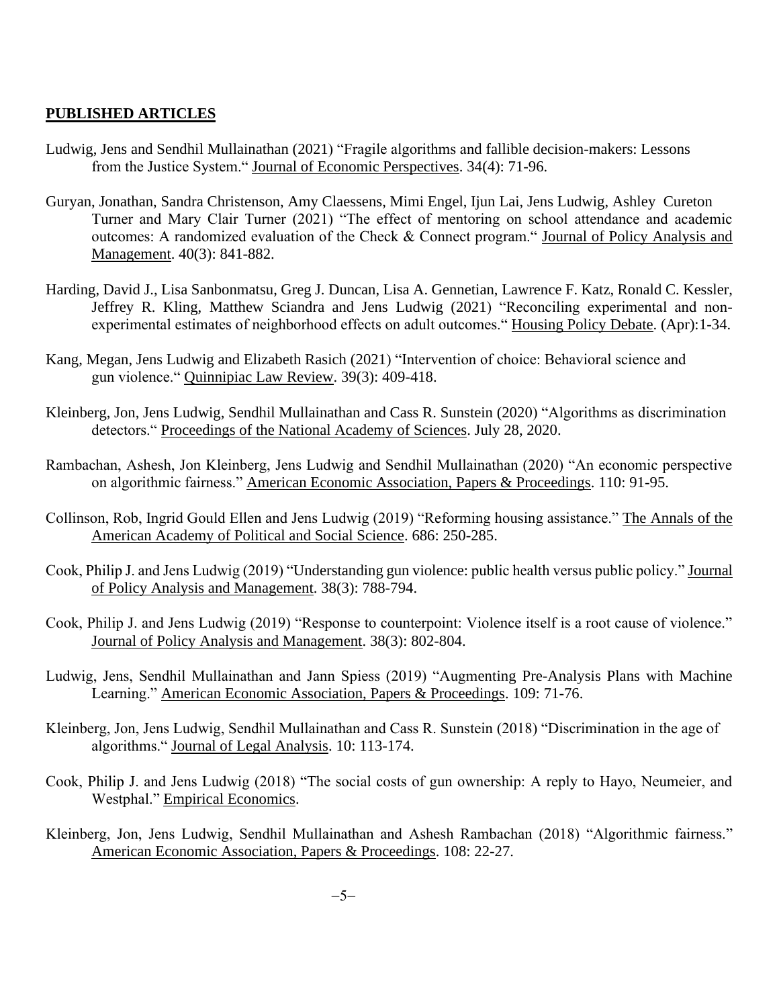### **PUBLISHED ARTICLES**

- Ludwig, Jens and Sendhil Mullainathan (2021) "Fragile algorithms and fallible decision-makers: Lessons from the Justice System." Journal of Economic Perspectives. 34(4): 71-96.
- Guryan, Jonathan, Sandra Christenson, Amy Claessens, Mimi Engel, Ijun Lai, Jens Ludwig, Ashley Cureton Turner and Mary Clair Turner (2021) "The effect of mentoring on school attendance and academic outcomes: A randomized evaluation of the Check & Connect program." Journal of Policy Analysis and Management. 40(3): 841-882.
- Harding, David J., Lisa Sanbonmatsu, Greg J. Duncan, Lisa A. Gennetian, Lawrence F. Katz, Ronald C. Kessler, Jeffrey R. Kling, Matthew Sciandra and Jens Ludwig (2021) "Reconciling experimental and nonexperimental estimates of neighborhood effects on adult outcomes." Housing Policy Debate. (Apr):1-34.
- Kang, Megan, Jens Ludwig and Elizabeth Rasich (2021) "Intervention of choice: Behavioral science and gun violence." Quinnipiac Law Review. 39(3): 409-418.
- Kleinberg, Jon, Jens Ludwig, Sendhil Mullainathan and Cass R. Sunstein (2020) "Algorithms as discrimination detectors." Proceedings of the National Academy of Sciences. July 28, 2020.
- Rambachan, Ashesh, Jon Kleinberg, Jens Ludwig and Sendhil Mullainathan (2020) "An economic perspective on algorithmic fairness." American Economic Association, Papers & Proceedings. 110: 91-95.
- Collinson, Rob, Ingrid Gould Ellen and Jens Ludwig (2019) "Reforming housing assistance." The Annals of the American Academy of Political and Social Science. 686: 250-285.
- Cook, Philip J. and Jens Ludwig (2019) "Understanding gun violence: public health versus public policy." Journal of Policy Analysis and Management. 38(3): 788-794.
- Cook, Philip J. and Jens Ludwig (2019) "Response to counterpoint: Violence itself is a root cause of violence." Journal of Policy Analysis and Management. 38(3): 802-804.
- Ludwig, Jens, Sendhil Mullainathan and Jann Spiess (2019) "Augmenting Pre-Analysis Plans with Machine Learning." American Economic Association, Papers & Proceedings. 109: 71-76.
- Kleinberg, Jon, Jens Ludwig, Sendhil Mullainathan and Cass R. Sunstein (2018) "Discrimination in the age of algorithms." Journal of Legal Analysis. 10: 113-174.
- Cook, Philip J. and Jens Ludwig (2018) "The social costs of gun ownership: A reply to Hayo, Neumeier, and Westphal." Empirical Economics.
- Kleinberg, Jon, Jens Ludwig, Sendhil Mullainathan and Ashesh Rambachan (2018) "Algorithmic fairness." American Economic Association, Papers & Proceedings. 108: 22-27.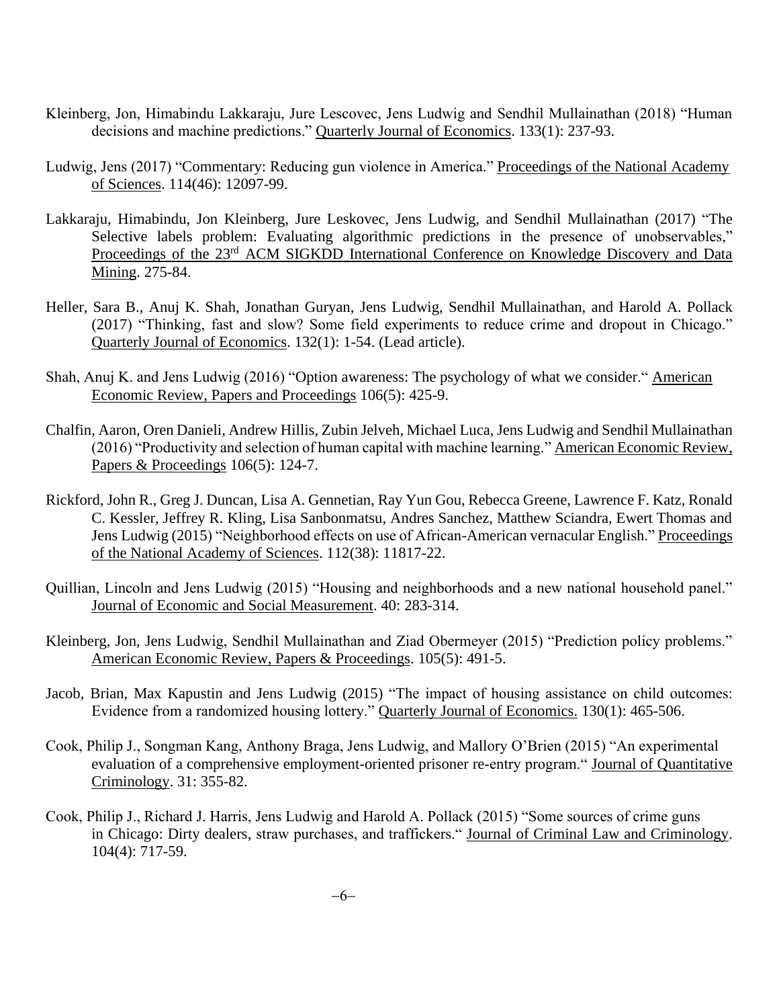- Kleinberg, Jon, Himabindu Lakkaraju, Jure Lescovec, Jens Ludwig and Sendhil Mullainathan (2018) "Human decisions and machine predictions." Quarterly Journal of Economics. 133(1): 237-93.
- Ludwig, Jens (2017) "Commentary: Reducing gun violence in America." Proceedings of the National Academy of Sciences. 114(46): 12097-99.
- Lakkaraju, Himabindu, Jon Kleinberg, Jure Leskovec, Jens Ludwig, and Sendhil Mullainathan (2017) "The Selective labels problem: Evaluating algorithmic predictions in the presence of unobservables," Proceedings of the 23<sup>rd</sup> ACM SIGKDD International Conference on Knowledge Discovery and Data Mining. 275-84.
- Heller, Sara B., Anuj K. Shah, Jonathan Guryan, Jens Ludwig, Sendhil Mullainathan, and Harold A. Pollack (2017) "Thinking, fast and slow? Some field experiments to reduce crime and dropout in Chicago." Quarterly Journal of Economics. 132(1): 1-54. (Lead article).
- Shah, Anuj K. and Jens Ludwig (2016) "Option awareness: The psychology of what we consider." American Economic Review, Papers and Proceedings 106(5): 425-9.
- Chalfin, Aaron, Oren Danieli, Andrew Hillis, Zubin Jelveh, Michael Luca, Jens Ludwig and Sendhil Mullainathan (2016) "Productivity and selection of human capital with machine learning." American Economic Review, Papers & Proceedings 106(5): 124-7.
- Rickford, John R., Greg J. Duncan, Lisa A. Gennetian, Ray Yun Gou, Rebecca Greene, Lawrence F. Katz, Ronald C. Kessler, Jeffrey R. Kling, Lisa Sanbonmatsu, Andres Sanchez, Matthew Sciandra, Ewert Thomas and Jens Ludwig (2015) "Neighborhood effects on use of African-American vernacular English." Proceedings of the National Academy of Sciences. 112(38): 11817-22.
- Quillian, Lincoln and Jens Ludwig (2015) "Housing and neighborhoods and a new national household panel." Journal of Economic and Social Measurement. 40: 283-314.
- Kleinberg, Jon, Jens Ludwig, Sendhil Mullainathan and Ziad Obermeyer (2015) "Prediction policy problems." American Economic Review, Papers & Proceedings. 105(5): 491-5.
- Jacob, Brian, Max Kapustin and Jens Ludwig (2015) "The impact of housing assistance on child outcomes: Evidence from a randomized housing lottery." Quarterly Journal of Economics. 130(1): 465-506.
- Cook, Philip J., Songman Kang, Anthony Braga, Jens Ludwig, and Mallory O'Brien (2015) "An experimental evaluation of a comprehensive employment-oriented prisoner re-entry program." Journal of Quantitative Criminology. 31: 355-82.
- Cook, Philip J., Richard J. Harris, Jens Ludwig and Harold A. Pollack (2015) "Some sources of crime guns in Chicago: Dirty dealers, straw purchases, and traffickers." Journal of Criminal Law and Criminology. 104(4): 717-59.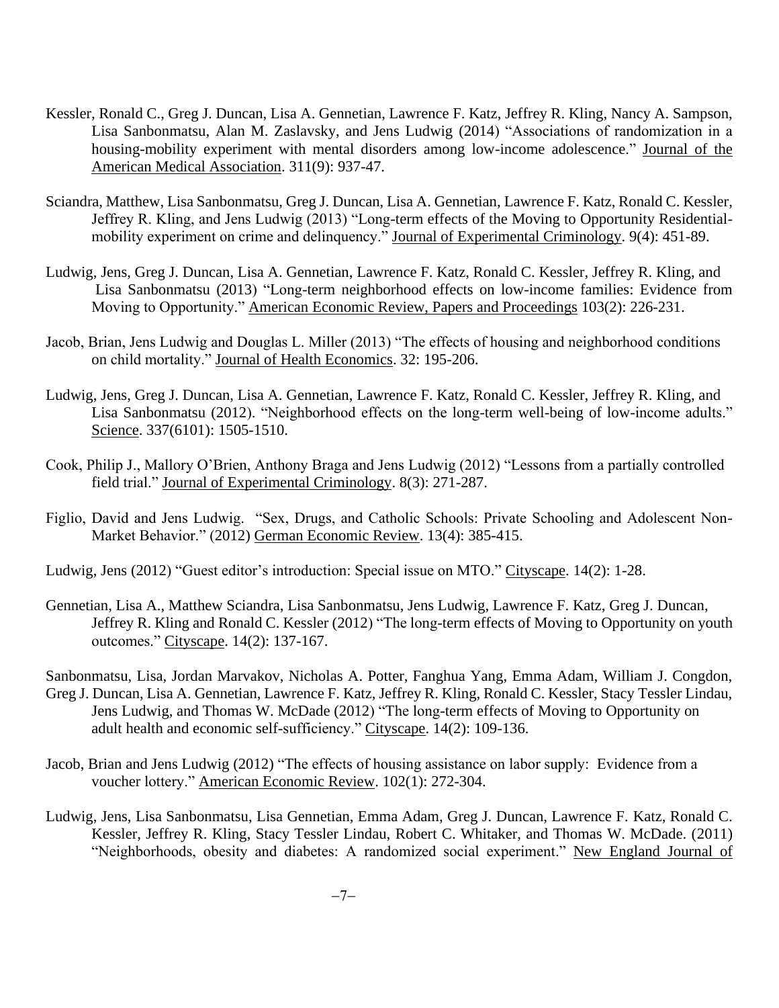- Kessler, Ronald C., Greg J. Duncan, Lisa A. Gennetian, Lawrence F. Katz, Jeffrey R. Kling, Nancy A. Sampson, Lisa Sanbonmatsu, Alan M. Zaslavsky, and Jens Ludwig (2014) "Associations of randomization in a housing-mobility experiment with mental disorders among low-income adolescence." Journal of the American Medical Association. 311(9): 937-47.
- Sciandra, Matthew, Lisa Sanbonmatsu, Greg J. Duncan, Lisa A. Gennetian, Lawrence F. Katz, Ronald C. Kessler, Jeffrey R. Kling, and Jens Ludwig (2013) "Long-term effects of the Moving to Opportunity Residentialmobility experiment on crime and delinquency." Journal of Experimental Criminology. 9(4): 451-89.
- Ludwig, Jens, Greg J. Duncan, Lisa A. Gennetian, Lawrence F. Katz, Ronald C. Kessler, Jeffrey R. Kling, and Lisa Sanbonmatsu (2013) "Long-term neighborhood effects on low-income families: Evidence from Moving to Opportunity." American Economic Review, Papers and Proceedings 103(2): 226-231.
- Jacob, Brian, Jens Ludwig and Douglas L. Miller (2013) "The effects of housing and neighborhood conditions on child mortality." Journal of Health Economics. 32: 195-206.
- Ludwig, Jens, Greg J. Duncan, Lisa A. Gennetian, Lawrence F. Katz, Ronald C. Kessler, Jeffrey R. Kling, and Lisa Sanbonmatsu (2012). "Neighborhood effects on the long-term well-being of low-income adults." Science. 337(6101): 1505-1510.
- Cook, Philip J., Mallory O'Brien, Anthony Braga and Jens Ludwig (2012) "Lessons from a partially controlled field trial." Journal of Experimental Criminology. 8(3): 271-287.
- Figlio, David and Jens Ludwig. "Sex, Drugs, and Catholic Schools: Private Schooling and Adolescent Non-Market Behavior." (2012) German Economic Review. 13(4): 385-415.
- Ludwig, Jens (2012) "Guest editor's introduction: Special issue on MTO." Cityscape. 14(2): 1-28.
- Gennetian, Lisa A., Matthew Sciandra, Lisa Sanbonmatsu, Jens Ludwig, Lawrence F. Katz, Greg J. Duncan, Jeffrey R. Kling and Ronald C. Kessler (2012) "The long-term effects of Moving to Opportunity on youth outcomes." Cityscape. 14(2): 137-167.

Sanbonmatsu, Lisa, Jordan Marvakov, Nicholas A. Potter, Fanghua Yang, Emma Adam, William J. Congdon, Greg J. Duncan, Lisa A. Gennetian, Lawrence F. Katz, Jeffrey R. Kling, Ronald C. Kessler, Stacy Tessler Lindau, Jens Ludwig, and Thomas W. McDade (2012) "The long-term effects of Moving to Opportunity on adult health and economic self-sufficiency." Cityscape. 14(2): 109-136.

- Jacob, Brian and Jens Ludwig (2012) "The effects of housing assistance on labor supply: Evidence from a voucher lottery." American Economic Review. 102(1): 272-304.
- Ludwig, Jens, Lisa Sanbonmatsu, Lisa Gennetian, Emma Adam, Greg J. Duncan, Lawrence F. Katz, Ronald C. Kessler, Jeffrey R. Kling, Stacy Tessler Lindau, Robert C. Whitaker, and Thomas W. McDade. (2011) "Neighborhoods, obesity and diabetes: A randomized social experiment." New England Journal of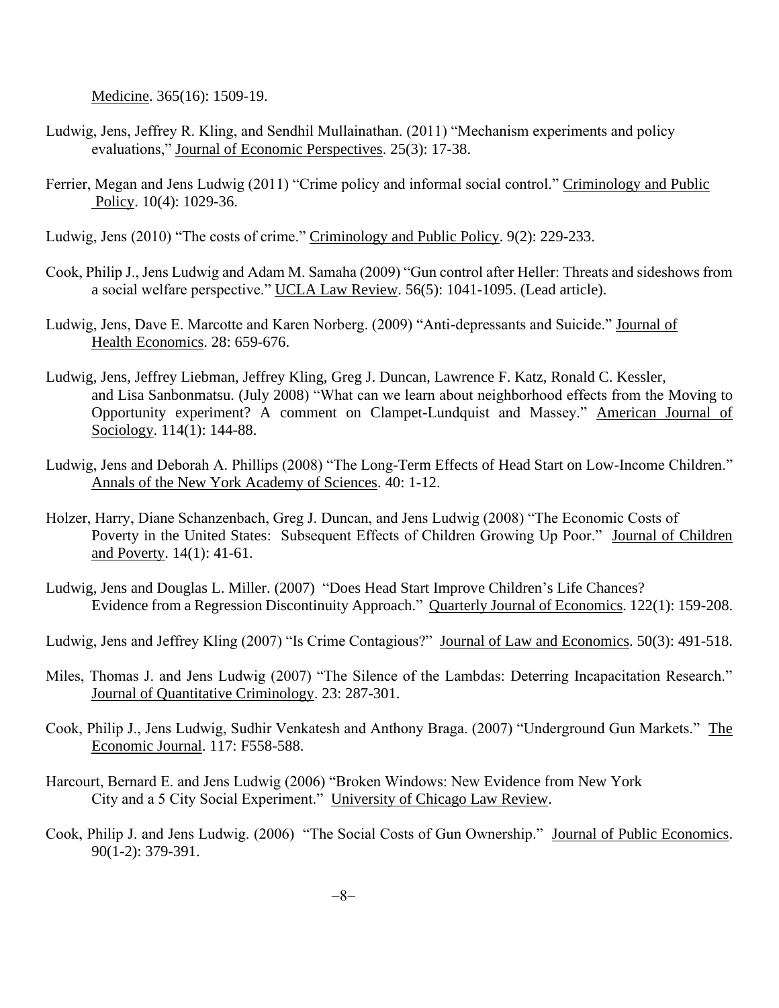Medicine. 365(16): 1509-19.

- Ludwig, Jens, Jeffrey R. Kling, and Sendhil Mullainathan. (2011) "Mechanism experiments and policy evaluations," Journal of Economic Perspectives. 25(3): 17-38.
- Ferrier, Megan and Jens Ludwig (2011) "Crime policy and informal social control." Criminology and Public Policy. 10(4): 1029-36.

Ludwig, Jens (2010) "The costs of crime." Criminology and Public Policy. 9(2): 229-233.

- Cook, Philip J., Jens Ludwig and Adam M. Samaha (2009) "Gun control after Heller: Threats and sideshows from a social welfare perspective." UCLA Law Review. 56(5): 1041-1095. (Lead article).
- Ludwig, Jens, Dave E. Marcotte and Karen Norberg. (2009) "Anti-depressants and Suicide." Journal of Health Economics. 28: 659-676.
- Ludwig, Jens, Jeffrey Liebman, Jeffrey Kling, Greg J. Duncan, Lawrence F. Katz, Ronald C. Kessler, and Lisa Sanbonmatsu. (July 2008) "What can we learn about neighborhood effects from the Moving to Opportunity experiment? A comment on Clampet-Lundquist and Massey." American Journal of Sociology. 114(1): 144-88.
- Ludwig, Jens and Deborah A. Phillips (2008) "The Long-Term Effects of Head Start on Low-Income Children." Annals of the New York Academy of Sciences. 40: 1-12.
- Holzer, Harry, Diane Schanzenbach, Greg J. Duncan, and Jens Ludwig (2008) "The Economic Costs of Poverty in the United States: Subsequent Effects of Children Growing Up Poor." Journal of Children and Poverty. 14(1): 41-61.
- Ludwig, Jens and Douglas L. Miller. (2007) "Does Head Start Improve Children's Life Chances? Evidence from a Regression Discontinuity Approach." Quarterly Journal of Economics. 122(1): 159-208.
- Ludwig, Jens and Jeffrey Kling (2007) "Is Crime Contagious?" Journal of Law and Economics. 50(3): 491-518.
- Miles, Thomas J. and Jens Ludwig (2007) "The Silence of the Lambdas: Deterring Incapacitation Research." Journal of Quantitative Criminology. 23: 287-301.
- Cook, Philip J., Jens Ludwig, Sudhir Venkatesh and Anthony Braga. (2007) "Underground Gun Markets." The Economic Journal. 117: F558-588.
- Harcourt, Bernard E. and Jens Ludwig (2006) "Broken Windows: New Evidence from New York City and a 5 City Social Experiment." University of Chicago Law Review.
- Cook, Philip J. and Jens Ludwig. (2006) "The Social Costs of Gun Ownership." Journal of Public Economics. 90(1-2): 379-391.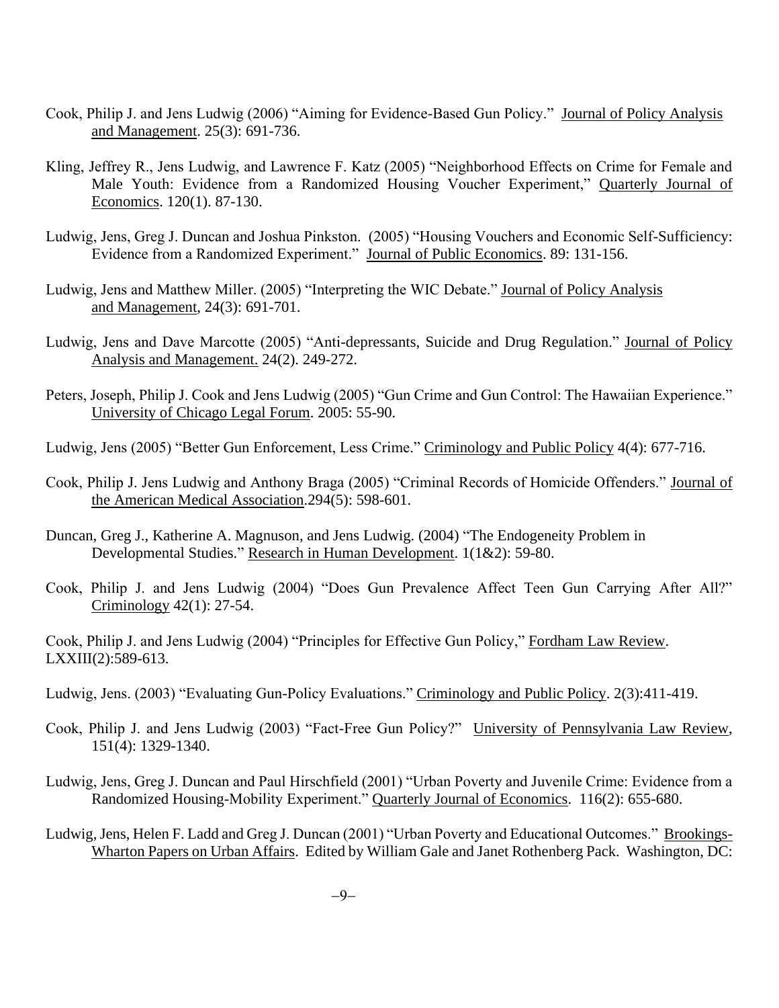- Cook, Philip J. and Jens Ludwig (2006) "Aiming for Evidence-Based Gun Policy." Journal of Policy Analysis and Management. 25(3): 691-736.
- Kling, Jeffrey R., Jens Ludwig, and Lawrence F. Katz (2005) "Neighborhood Effects on Crime for Female and Male Youth: Evidence from a Randomized Housing Voucher Experiment," Quarterly Journal of Economics. 120(1). 87-130.
- Ludwig, Jens, Greg J. Duncan and Joshua Pinkston. (2005) "Housing Vouchers and Economic Self-Sufficiency: Evidence from a Randomized Experiment." Journal of Public Economics. 89: 131-156.
- Ludwig, Jens and Matthew Miller. (2005) "Interpreting the WIC Debate." Journal of Policy Analysis and Management, 24(3): 691-701.
- Ludwig, Jens and Dave Marcotte (2005) "Anti-depressants, Suicide and Drug Regulation." Journal of Policy Analysis and Management. 24(2). 249-272.
- Peters, Joseph, Philip J. Cook and Jens Ludwig (2005) "Gun Crime and Gun Control: The Hawaiian Experience." University of Chicago Legal Forum. 2005: 55-90.
- Ludwig, Jens (2005) "Better Gun Enforcement, Less Crime." Criminology and Public Policy 4(4): 677-716.
- Cook, Philip J. Jens Ludwig and Anthony Braga (2005) "Criminal Records of Homicide Offenders." Journal of the American Medical Association.294(5): 598-601.
- Duncan, Greg J., Katherine A. Magnuson, and Jens Ludwig. (2004) "The Endogeneity Problem in Developmental Studies." Research in Human Development. 1(1&2): 59-80.
- Cook, Philip J. and Jens Ludwig (2004) "Does Gun Prevalence Affect Teen Gun Carrying After All?" Criminology 42(1): 27-54.

Cook, Philip J. and Jens Ludwig (2004) "Principles for Effective Gun Policy," Fordham Law Review. LXXIII(2):589-613.

- Ludwig, Jens. (2003) "Evaluating Gun-Policy Evaluations." Criminology and Public Policy. 2(3):411-419.
- Cook, Philip J. and Jens Ludwig (2003) "Fact-Free Gun Policy?" University of Pennsylvania Law Review, 151(4): 1329-1340.
- Ludwig, Jens, Greg J. Duncan and Paul Hirschfield (2001) "Urban Poverty and Juvenile Crime: Evidence from a Randomized Housing-Mobility Experiment." Quarterly Journal of Economics. 116(2): 655-680.
- Ludwig, Jens, Helen F. Ladd and Greg J. Duncan (2001) "Urban Poverty and Educational Outcomes." Brookings-Wharton Papers on Urban Affairs. Edited by William Gale and Janet Rothenberg Pack. Washington, DC: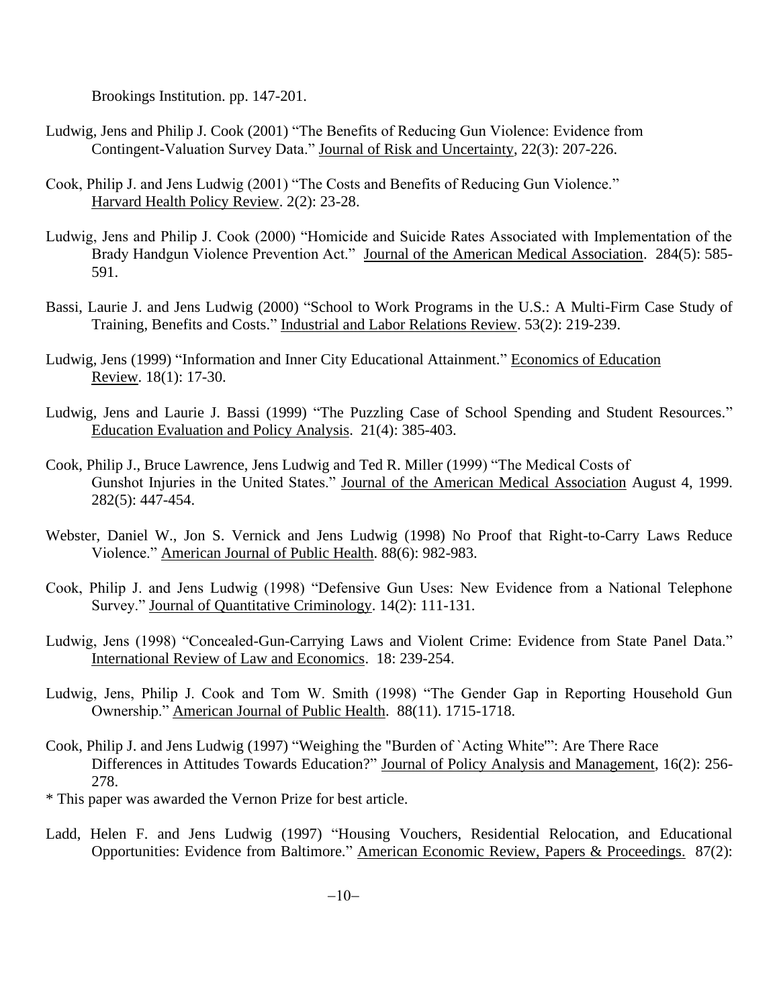Brookings Institution. pp. 147-201.

- Ludwig, Jens and Philip J. Cook (2001) "The Benefits of Reducing Gun Violence: Evidence from Contingent-Valuation Survey Data." Journal of Risk and Uncertainty, 22(3): 207-226.
- Cook, Philip J. and Jens Ludwig (2001) "The Costs and Benefits of Reducing Gun Violence." Harvard Health Policy Review. 2(2): 23-28.
- Ludwig, Jens and Philip J. Cook (2000) "Homicide and Suicide Rates Associated with Implementation of the Brady Handgun Violence Prevention Act." Journal of the American Medical Association. 284(5): 585-591.
- Bassi, Laurie J. and Jens Ludwig (2000) "School to Work Programs in the U.S.: A Multi-Firm Case Study of Training, Benefits and Costs." Industrial and Labor Relations Review. 53(2): 219-239.
- Ludwig, Jens (1999) "Information and Inner City Educational Attainment." Economics of Education Review. 18(1): 17-30.
- Ludwig, Jens and Laurie J. Bassi (1999) "The Puzzling Case of School Spending and Student Resources." Education Evaluation and Policy Analysis. 21(4): 385-403.
- Cook, Philip J., Bruce Lawrence, Jens Ludwig and Ted R. Miller (1999) "The Medical Costs of Gunshot Injuries in the United States." Journal of the American Medical Association August 4, 1999. 282(5): 447-454.
- Webster, Daniel W., Jon S. Vernick and Jens Ludwig (1998) No Proof that Right-to-Carry Laws Reduce Violence." American Journal of Public Health. 88(6): 982-983.
- Cook, Philip J. and Jens Ludwig (1998) "Defensive Gun Uses: New Evidence from a National Telephone Survey." Journal of Quantitative Criminology. 14(2): 111-131.
- Ludwig, Jens (1998) "Concealed-Gun-Carrying Laws and Violent Crime: Evidence from State Panel Data." International Review of Law and Economics. 18: 239-254.
- Ludwig, Jens, Philip J. Cook and Tom W. Smith (1998) "The Gender Gap in Reporting Household Gun Ownership." American Journal of Public Health. 88(11). 1715-1718.
- Cook, Philip J. and Jens Ludwig (1997) "Weighing the "Burden of `Acting White'": Are There Race Differences in Attitudes Towards Education?" Journal of Policy Analysis and Management, 16(2): 256- 278.
- \* This paper was awarded the Vernon Prize for best article.
- Ladd, Helen F. and Jens Ludwig (1997) "Housing Vouchers, Residential Relocation, and Educational Opportunities: Evidence from Baltimore." American Economic Review, Papers & Proceedings. 87(2):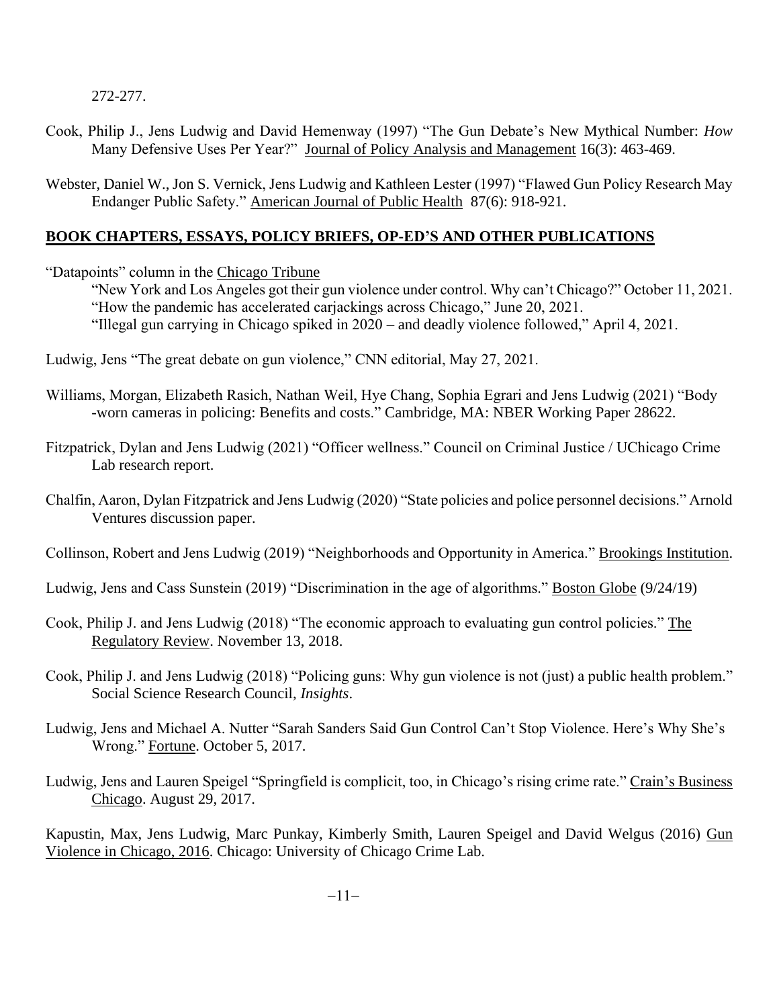272-277.

- Cook, Philip J., Jens Ludwig and David Hemenway (1997) "The Gun Debate's New Mythical Number: *How* Many Defensive Uses Per Year?" Journal of Policy Analysis and Management 16(3): 463-469.
- Webster, Daniel W., Jon S. Vernick, Jens Ludwig and Kathleen Lester (1997) "Flawed Gun Policy Research May Endanger Public Safety." American Journal of Public Health 87(6): 918-921.

### **BOOK CHAPTERS, ESSAYS, POLICY BRIEFS, OP-ED'S AND OTHER PUBLICATIONS**

"Datapoints" column in the Chicago Tribune

"New York and Los Angeles got their gun violence under control. Why can't Chicago?" October 11, 2021. "How the pandemic has accelerated carjackings across Chicago," June 20, 2021. "Illegal gun carrying in Chicago spiked in 2020 – and deadly violence followed," April 4, 2021.

- Ludwig, Jens "The great debate on gun violence," CNN editorial, May 27, 2021.
- Williams, Morgan, Elizabeth Rasich, Nathan Weil, Hye Chang, Sophia Egrari and Jens Ludwig (2021) "Body -worn cameras in policing: Benefits and costs." Cambridge, MA: NBER Working Paper 28622.
- Fitzpatrick, Dylan and Jens Ludwig (2021) "Officer wellness." Council on Criminal Justice / UChicago Crime Lab research report.
- Chalfin, Aaron, Dylan Fitzpatrick and Jens Ludwig (2020) "State policies and police personnel decisions." Arnold Ventures discussion paper.

Collinson, Robert and Jens Ludwig (2019) "Neighborhoods and Opportunity in America." Brookings Institution.

- Ludwig, Jens and Cass Sunstein (2019) "Discrimination in the age of algorithms." Boston Globe (9/24/19)
- Cook, Philip J. and Jens Ludwig (2018) "The economic approach to evaluating gun control policies." The Regulatory Review. November 13, 2018.
- Cook, Philip J. and Jens Ludwig (2018) "Policing guns: Why gun violence is not (just) a public health problem." Social Science Research Council, *Insights*.
- Ludwig, Jens and Michael A. Nutter "Sarah Sanders Said Gun Control Can't Stop Violence. Here's Why She's Wrong." Fortune. October 5, 2017.
- Ludwig, Jens and Lauren Speigel "Springfield is complicit, too, in Chicago's rising crime rate." Crain's Business Chicago. August 29, 2017.

Kapustin, Max, Jens Ludwig, Marc Punkay, Kimberly Smith, Lauren Speigel and David Welgus (2016) Gun Violence in Chicago, 2016. Chicago: University of Chicago Crime Lab.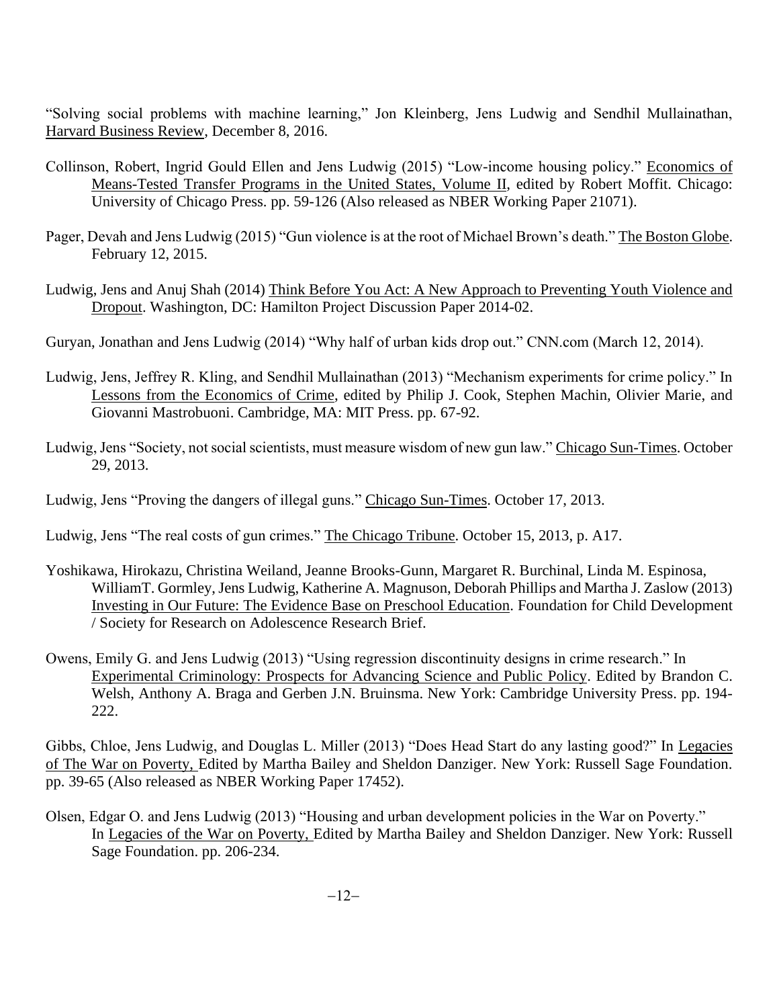"Solving social problems with machine learning," Jon Kleinberg, Jens Ludwig and Sendhil Mullainathan, Harvard Business Review, December 8, 2016.

- Collinson, Robert, Ingrid Gould Ellen and Jens Ludwig (2015) "Low-income housing policy." Economics of Means-Tested Transfer Programs in the United States, Volume II, edited by Robert Moffit. Chicago: University of Chicago Press. pp. 59-126 (Also released as NBER Working Paper 21071).
- Pager, Devah and Jens Ludwig (2015) "Gun violence is at the root of Michael Brown's death." The Boston Globe. February 12, 2015.
- Ludwig, Jens and Anuj Shah (2014) Think Before You Act: A New Approach to Preventing Youth Violence and Dropout. Washington, DC: Hamilton Project Discussion Paper 2014-02.

Guryan, Jonathan and Jens Ludwig (2014) "Why half of urban kids drop out." CNN.com (March 12, 2014).

- Ludwig, Jens, Jeffrey R. Kling, and Sendhil Mullainathan (2013) "Mechanism experiments for crime policy." In Lessons from the Economics of Crime, edited by Philip J. Cook, Stephen Machin, Olivier Marie, and Giovanni Mastrobuoni. Cambridge, MA: MIT Press. pp. 67-92.
- Ludwig, Jens "Society, not social scientists, must measure wisdom of new gun law." Chicago Sun-Times. October 29, 2013.

Ludwig, Jens "Proving the dangers of illegal guns." Chicago Sun-Times. October 17, 2013.

Ludwig, Jens "The real costs of gun crimes." The Chicago Tribune. October 15, 2013, p. A17.

- Yoshikawa, Hirokazu, Christina Weiland, Jeanne Brooks-Gunn, Margaret R. Burchinal, Linda M. Espinosa, WilliamT. Gormley, Jens Ludwig, Katherine A. Magnuson, Deborah Phillips and Martha J. Zaslow (2013) Investing in Our Future: The Evidence Base on Preschool Education. Foundation for Child Development / Society for Research on Adolescence Research Brief.
- Owens, Emily G. and Jens Ludwig (2013) "Using regression discontinuity designs in crime research." In Experimental Criminology: Prospects for Advancing Science and Public Policy. Edited by Brandon C. Welsh, Anthony A. Braga and Gerben J.N. Bruinsma. New York: Cambridge University Press. pp. 194- 222.

Gibbs, Chloe, Jens Ludwig, and Douglas L. Miller (2013) "Does Head Start do any lasting good?" In Legacies of The War on Poverty, Edited by Martha Bailey and Sheldon Danziger. New York: Russell Sage Foundation. pp. 39-65 (Also released as NBER Working Paper 17452).

Olsen, Edgar O. and Jens Ludwig (2013) "Housing and urban development policies in the War on Poverty." In Legacies of the War on Poverty, Edited by Martha Bailey and Sheldon Danziger. New York: Russell Sage Foundation. pp. 206-234.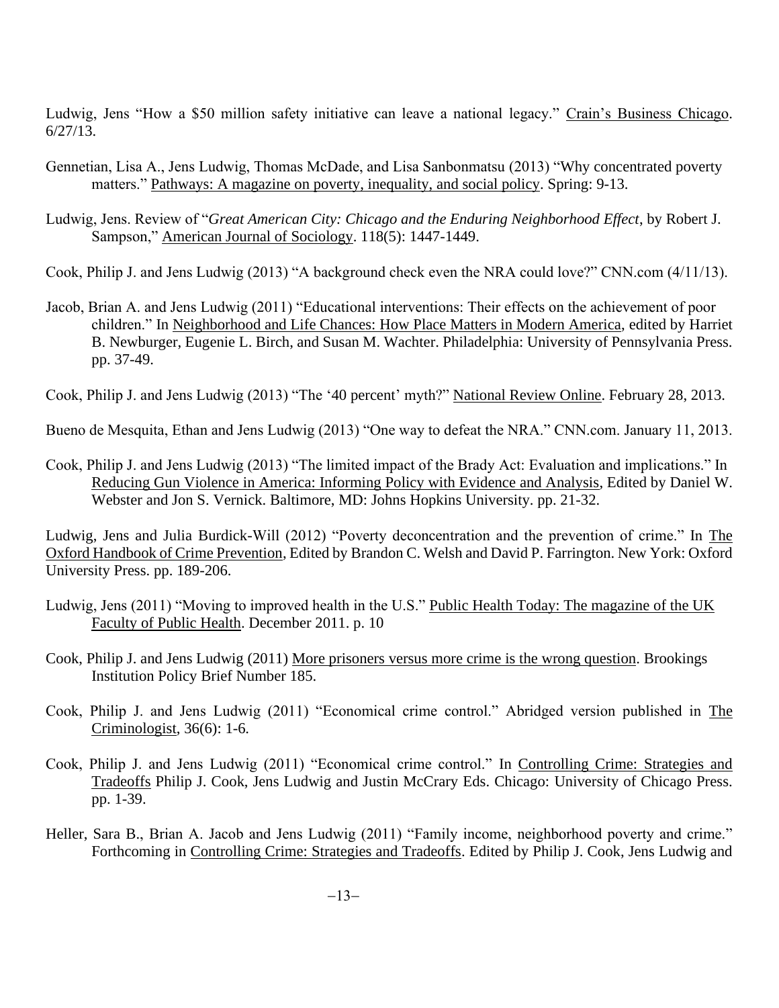Ludwig, Jens "How a \$50 million safety initiative can leave a national legacy." Crain's Business Chicago. 6/27/13.

- Gennetian, Lisa A., Jens Ludwig, Thomas McDade, and Lisa Sanbonmatsu (2013) "Why concentrated poverty matters." Pathways: A magazine on poverty, inequality, and social policy. Spring: 9-13.
- Ludwig, Jens. Review of "*Great American City: Chicago and the Enduring Neighborhood Effect*, by Robert J. Sampson," American Journal of Sociology. 118(5): 1447-1449.

Cook, Philip J. and Jens Ludwig (2013) "A background check even the NRA could love?" CNN.com (4/11/13).

Jacob, Brian A. and Jens Ludwig (2011) "Educational interventions: Their effects on the achievement of poor children." In Neighborhood and Life Chances: How Place Matters in Modern America, edited by Harriet B. Newburger, Eugenie L. Birch, and Susan M. Wachter. Philadelphia: University of Pennsylvania Press. pp. 37-49.

Cook, Philip J. and Jens Ludwig (2013) "The '40 percent' myth?" National Review Online. February 28, 2013.

Bueno de Mesquita, Ethan and Jens Ludwig (2013) "One way to defeat the NRA." CNN.com. January 11, 2013.

Cook, Philip J. and Jens Ludwig (2013) "The limited impact of the Brady Act: Evaluation and implications." In Reducing Gun Violence in America: Informing Policy with Evidence and Analysis, Edited by Daniel W. Webster and Jon S. Vernick. Baltimore, MD: Johns Hopkins University. pp. 21-32.

Ludwig, Jens and Julia Burdick-Will (2012) "Poverty deconcentration and the prevention of crime." In The Oxford Handbook of Crime Prevention, Edited by Brandon C. Welsh and David P. Farrington. New York: Oxford University Press. pp. 189-206.

- Ludwig, Jens (2011) "Moving to improved health in the U.S." Public Health Today: The magazine of the UK Faculty of Public Health. December 2011. p. 10
- Cook, Philip J. and Jens Ludwig (2011) More prisoners versus more crime is the wrong question. Brookings Institution Policy Brief Number 185.
- Cook, Philip J. and Jens Ludwig (2011) "Economical crime control." Abridged version published in The Criminologist, 36(6): 1-6.
- Cook, Philip J. and Jens Ludwig (2011) "Economical crime control." In Controlling Crime: Strategies and Tradeoffs Philip J. Cook, Jens Ludwig and Justin McCrary Eds. Chicago: University of Chicago Press. pp. 1-39.
- Heller, Sara B., Brian A. Jacob and Jens Ludwig (2011) "Family income, neighborhood poverty and crime." Forthcoming in Controlling Crime: Strategies and Tradeoffs. Edited by Philip J. Cook, Jens Ludwig and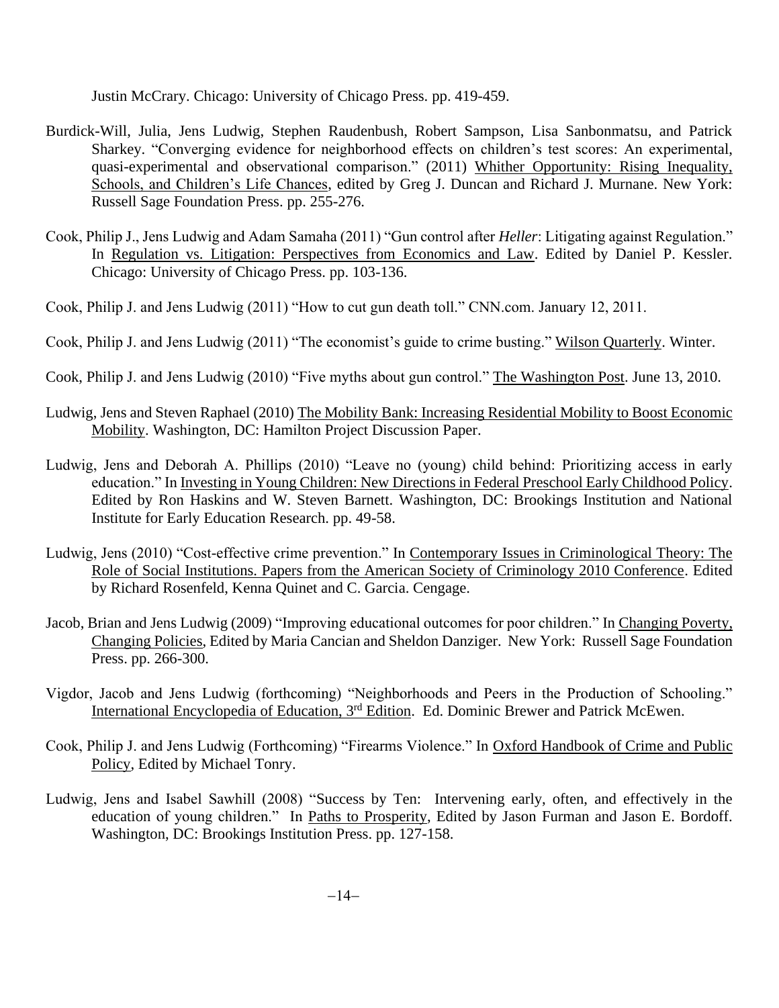Justin McCrary. Chicago: University of Chicago Press. pp. 419-459.

- Burdick-Will, Julia, Jens Ludwig, Stephen Raudenbush, Robert Sampson, Lisa Sanbonmatsu, and Patrick Sharkey. "Converging evidence for neighborhood effects on children's test scores: An experimental, quasi-experimental and observational comparison." (2011) Whither Opportunity: Rising Inequality, Schools, and Children's Life Chances, edited by Greg J. Duncan and Richard J. Murnane. New York: Russell Sage Foundation Press. pp. 255-276.
- Cook, Philip J., Jens Ludwig and Adam Samaha (2011) "Gun control after *Heller*: Litigating against Regulation." In Regulation vs. Litigation: Perspectives from Economics and Law. Edited by Daniel P. Kessler. Chicago: University of Chicago Press. pp. 103-136.
- Cook, Philip J. and Jens Ludwig (2011) "How to cut gun death toll." CNN.com. January 12, 2011.
- Cook, Philip J. and Jens Ludwig (2011) "The economist's guide to crime busting." Wilson Quarterly. Winter.
- Cook, Philip J. and Jens Ludwig (2010) "Five myths about gun control." The Washington Post. June 13, 2010.
- Ludwig, Jens and Steven Raphael (2010) The Mobility Bank: Increasing Residential Mobility to Boost Economic Mobility. Washington, DC: Hamilton Project Discussion Paper.
- Ludwig, Jens and Deborah A. Phillips (2010) "Leave no (young) child behind: Prioritizing access in early education." In Investing in Young Children: New Directions in Federal Preschool Early Childhood Policy. Edited by Ron Haskins and W. Steven Barnett. Washington, DC: Brookings Institution and National Institute for Early Education Research. pp. 49-58.
- Ludwig, Jens (2010) "Cost-effective crime prevention." In Contemporary Issues in Criminological Theory: The Role of Social Institutions. Papers from the American Society of Criminology 2010 Conference. Edited by Richard Rosenfeld, Kenna Quinet and C. Garcia. Cengage.
- Jacob, Brian and Jens Ludwig (2009) "Improving educational outcomes for poor children." In Changing Poverty, Changing Policies, Edited by Maria Cancian and Sheldon Danziger. New York: Russell Sage Foundation Press. pp. 266-300.
- Vigdor, Jacob and Jens Ludwig (forthcoming) "Neighborhoods and Peers in the Production of Schooling." International Encyclopedia of Education, 3<sup>rd</sup> Edition. Ed. Dominic Brewer and Patrick McEwen.
- Cook, Philip J. and Jens Ludwig (Forthcoming) "Firearms Violence." In Oxford Handbook of Crime and Public Policy, Edited by Michael Tonry.
- Ludwig, Jens and Isabel Sawhill (2008) "Success by Ten: Intervening early, often, and effectively in the education of young children." In Paths to Prosperity, Edited by Jason Furman and Jason E. Bordoff. Washington, DC: Brookings Institution Press. pp. 127-158.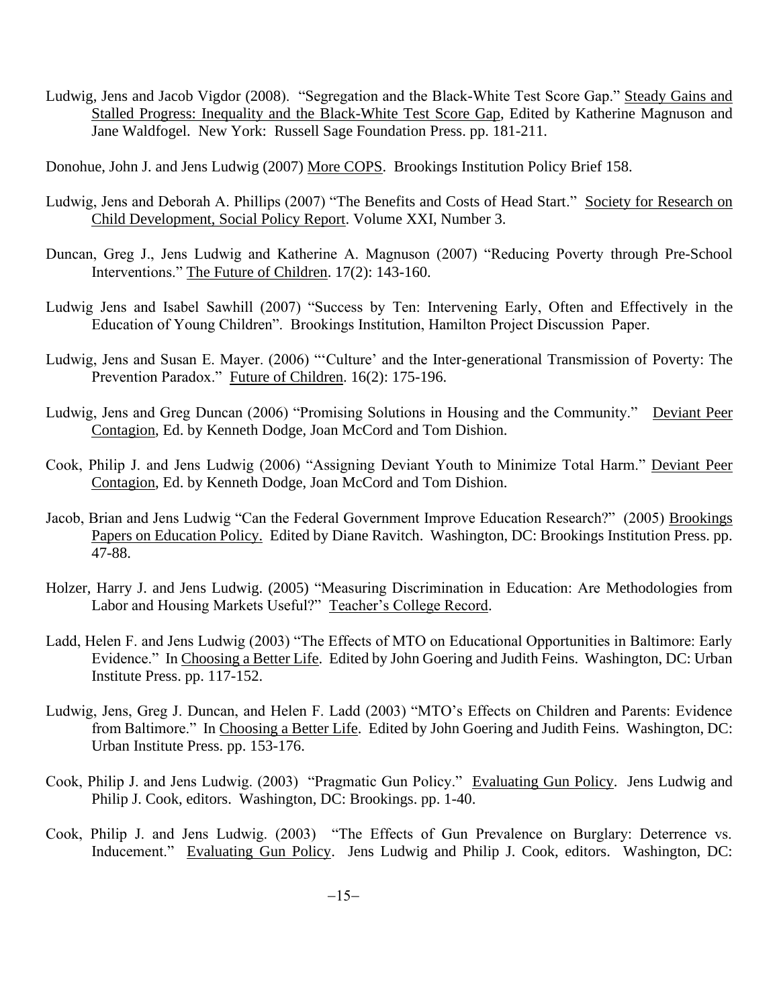Ludwig, Jens and Jacob Vigdor (2008). "Segregation and the Black-White Test Score Gap." Steady Gains and Stalled Progress: Inequality and the Black-White Test Score Gap, Edited by Katherine Magnuson and Jane Waldfogel. New York: Russell Sage Foundation Press. pp. 181-211.

Donohue, John J. and Jens Ludwig (2007) More COPS. Brookings Institution Policy Brief 158.

- Ludwig, Jens and Deborah A. Phillips (2007) "The Benefits and Costs of Head Start." Society for Research on Child Development, Social Policy Report. Volume XXI, Number 3.
- Duncan, Greg J., Jens Ludwig and Katherine A. Magnuson (2007) "Reducing Poverty through Pre-School Interventions." The Future of Children. 17(2): 143-160.
- Ludwig Jens and Isabel Sawhill (2007) "Success by Ten: Intervening Early, Often and Effectively in the Education of Young Children". Brookings Institution, Hamilton Project Discussion Paper.
- Ludwig, Jens and Susan E. Mayer. (2006) "'Culture' and the Inter-generational Transmission of Poverty: The Prevention Paradox." Future of Children. 16(2): 175-196.
- Ludwig, Jens and Greg Duncan (2006) "Promising Solutions in Housing and the Community." Deviant Peer Contagion, Ed. by Kenneth Dodge, Joan McCord and Tom Dishion.
- Cook, Philip J. and Jens Ludwig (2006) "Assigning Deviant Youth to Minimize Total Harm." Deviant Peer Contagion, Ed. by Kenneth Dodge, Joan McCord and Tom Dishion.
- Jacob, Brian and Jens Ludwig "Can the Federal Government Improve Education Research?" (2005) Brookings Papers on Education Policy. Edited by Diane Ravitch. Washington, DC: Brookings Institution Press. pp. 47-88.
- Holzer, Harry J. and Jens Ludwig. (2005) "Measuring Discrimination in Education: Are Methodologies from Labor and Housing Markets Useful?" Teacher's College Record.
- Ladd, Helen F. and Jens Ludwig (2003) "The Effects of MTO on Educational Opportunities in Baltimore: Early Evidence." In Choosing a Better Life. Edited by John Goering and Judith Feins. Washington, DC: Urban Institute Press. pp. 117-152.
- Ludwig, Jens, Greg J. Duncan, and Helen F. Ladd (2003) "MTO's Effects on Children and Parents: Evidence from Baltimore." In Choosing a Better Life. Edited by John Goering and Judith Feins. Washington, DC: Urban Institute Press. pp. 153-176.
- Cook, Philip J. and Jens Ludwig. (2003) "Pragmatic Gun Policy." Evaluating Gun Policy. Jens Ludwig and Philip J. Cook, editors. Washington, DC: Brookings. pp. 1-40.
- Cook, Philip J. and Jens Ludwig. (2003) "The Effects of Gun Prevalence on Burglary: Deterrence vs. Inducement." Evaluating Gun Policy. Jens Ludwig and Philip J. Cook, editors. Washington, DC: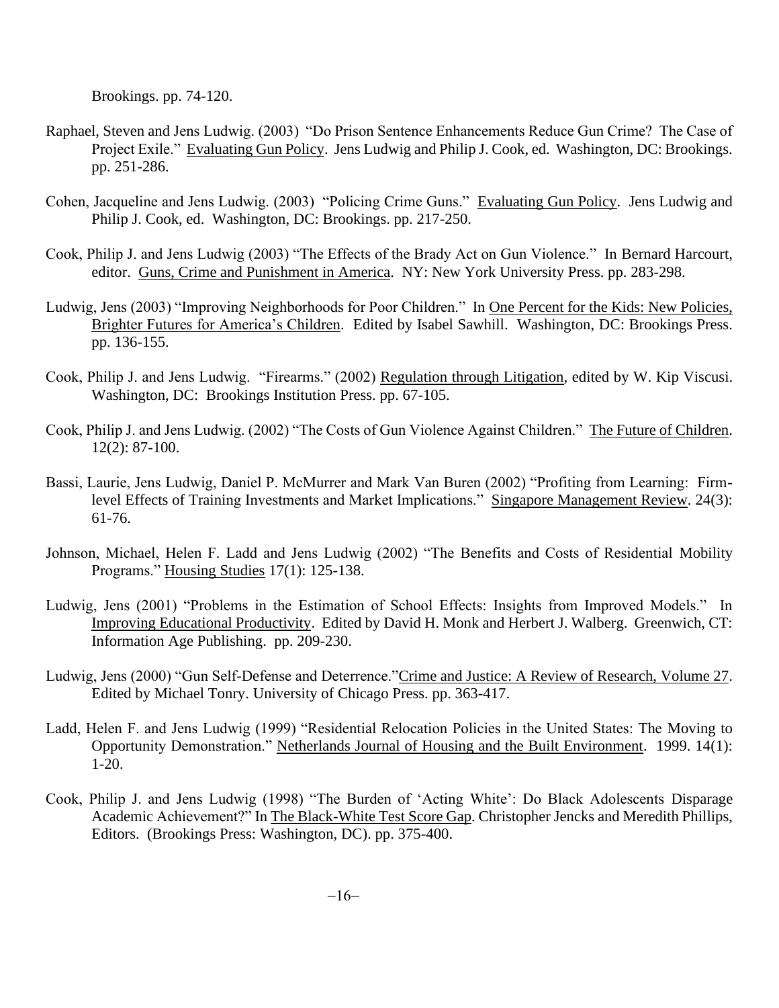Brookings. pp. 74-120.

- Raphael, Steven and Jens Ludwig. (2003) "Do Prison Sentence Enhancements Reduce Gun Crime? The Case of Project Exile." Evaluating Gun Policy. Jens Ludwig and Philip J. Cook, ed. Washington, DC: Brookings. pp. 251-286.
- Cohen, Jacqueline and Jens Ludwig. (2003) "Policing Crime Guns." Evaluating Gun Policy. Jens Ludwig and Philip J. Cook, ed. Washington, DC: Brookings. pp. 217-250.
- Cook, Philip J. and Jens Ludwig (2003) "The Effects of the Brady Act on Gun Violence." In Bernard Harcourt, editor. Guns, Crime and Punishment in America. NY: New York University Press. pp. 283-298.
- Ludwig, Jens (2003) "Improving Neighborhoods for Poor Children." In One Percent for the Kids: New Policies, Brighter Futures for America's Children. Edited by Isabel Sawhill. Washington, DC: Brookings Press. pp. 136-155.
- Cook, Philip J. and Jens Ludwig. "Firearms." (2002) Regulation through Litigation, edited by W. Kip Viscusi. Washington, DC: Brookings Institution Press. pp. 67-105.
- Cook, Philip J. and Jens Ludwig. (2002) "The Costs of Gun Violence Against Children." The Future of Children. 12(2): 87-100.
- Bassi, Laurie, Jens Ludwig, Daniel P. McMurrer and Mark Van Buren (2002) "Profiting from Learning: Firmlevel Effects of Training Investments and Market Implications." Singapore Management Review. 24(3): 61-76.
- Johnson, Michael, Helen F. Ladd and Jens Ludwig (2002) "The Benefits and Costs of Residential Mobility Programs." Housing Studies 17(1): 125-138.
- Ludwig, Jens (2001) "Problems in the Estimation of School Effects: Insights from Improved Models." In Improving Educational Productivity. Edited by David H. Monk and Herbert J. Walberg. Greenwich, CT: Information Age Publishing. pp. 209-230.
- Ludwig, Jens (2000) "Gun Self-Defense and Deterrence."Crime and Justice: A Review of Research, Volume 27. Edited by Michael Tonry. University of Chicago Press. pp. 363-417.
- Ladd, Helen F. and Jens Ludwig (1999) "Residential Relocation Policies in the United States: The Moving to Opportunity Demonstration." Netherlands Journal of Housing and the Built Environment. 1999. 14(1): 1-20.
- Cook, Philip J. and Jens Ludwig (1998) "The Burden of 'Acting White': Do Black Adolescents Disparage Academic Achievement?" In The Black-White Test Score Gap. Christopher Jencks and Meredith Phillips, Editors. (Brookings Press: Washington, DC). pp. 375-400.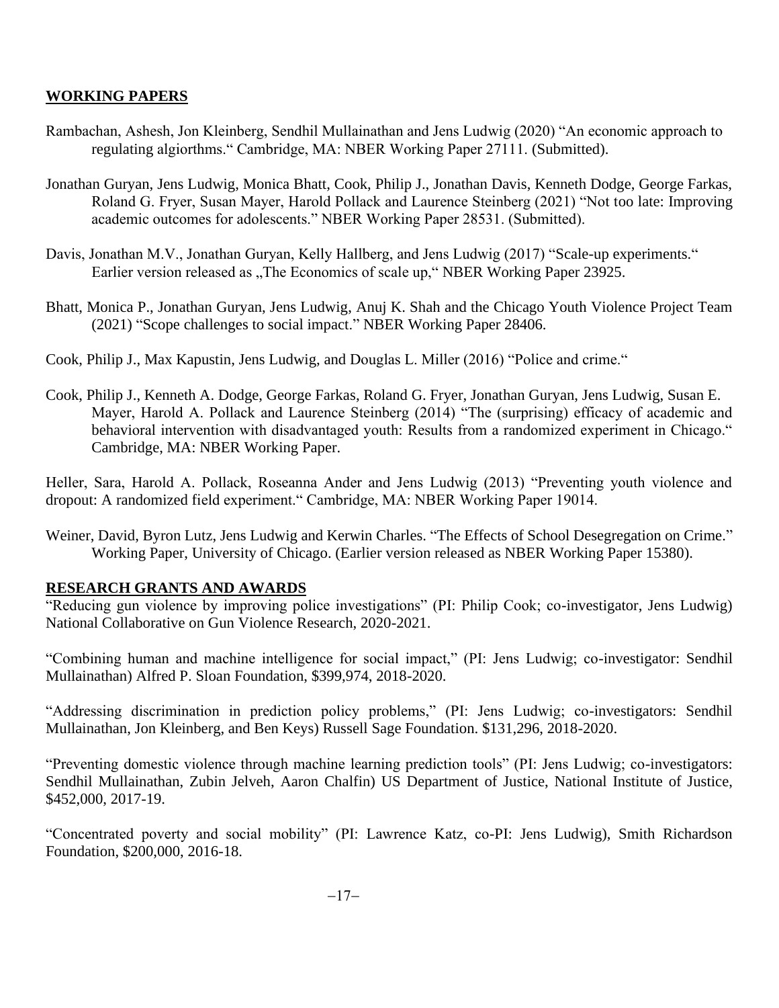### **WORKING PAPERS**

- Rambachan, Ashesh, Jon Kleinberg, Sendhil Mullainathan and Jens Ludwig (2020) "An economic approach to regulating algiorthms." Cambridge, MA: NBER Working Paper 27111. (Submitted).
- Jonathan Guryan, Jens Ludwig, Monica Bhatt, Cook, Philip J., Jonathan Davis, Kenneth Dodge, George Farkas, Roland G. Fryer, Susan Mayer, Harold Pollack and Laurence Steinberg (2021) "Not too late: Improving academic outcomes for adolescents." NBER Working Paper 28531. (Submitted).
- Davis, Jonathan M.V., Jonathan Guryan, Kelly Hallberg, and Jens Ludwig (2017) "Scale-up experiments." Earlier version released as "The Economics of scale up," NBER Working Paper 23925.
- Bhatt, Monica P., Jonathan Guryan, Jens Ludwig, Anuj K. Shah and the Chicago Youth Violence Project Team (2021) "Scope challenges to social impact." NBER Working Paper 28406.
- Cook, Philip J., Max Kapustin, Jens Ludwig, and Douglas L. Miller (2016) "Police and crime."
- Cook, Philip J., Kenneth A. Dodge, George Farkas, Roland G. Fryer, Jonathan Guryan, Jens Ludwig, Susan E. Mayer, Harold A. Pollack and Laurence Steinberg (2014) "The (surprising) efficacy of academic and behavioral intervention with disadvantaged youth: Results from a randomized experiment in Chicago." Cambridge, MA: NBER Working Paper.

Heller, Sara, Harold A. Pollack, Roseanna Ander and Jens Ludwig (2013) "Preventing youth violence and dropout: A randomized field experiment." Cambridge, MA: NBER Working Paper 19014.

Weiner, David, Byron Lutz, Jens Ludwig and Kerwin Charles. "The Effects of School Desegregation on Crime." Working Paper, University of Chicago. (Earlier version released as NBER Working Paper 15380).

### **RESEARCH GRANTS AND AWARDS**

"Reducing gun violence by improving police investigations" (PI: Philip Cook; co-investigator, Jens Ludwig) National Collaborative on Gun Violence Research, 2020-2021.

"Combining human and machine intelligence for social impact," (PI: Jens Ludwig; co-investigator: Sendhil Mullainathan) Alfred P. Sloan Foundation, \$399,974, 2018-2020.

"Addressing discrimination in prediction policy problems," (PI: Jens Ludwig; co-investigators: Sendhil Mullainathan, Jon Kleinberg, and Ben Keys) Russell Sage Foundation. \$131,296, 2018-2020.

"Preventing domestic violence through machine learning prediction tools" (PI: Jens Ludwig; co-investigators: Sendhil Mullainathan, Zubin Jelveh, Aaron Chalfin) US Department of Justice, National Institute of Justice, \$452,000, 2017-19.

"Concentrated poverty and social mobility" (PI: Lawrence Katz, co-PI: Jens Ludwig), Smith Richardson Foundation, \$200,000, 2016-18.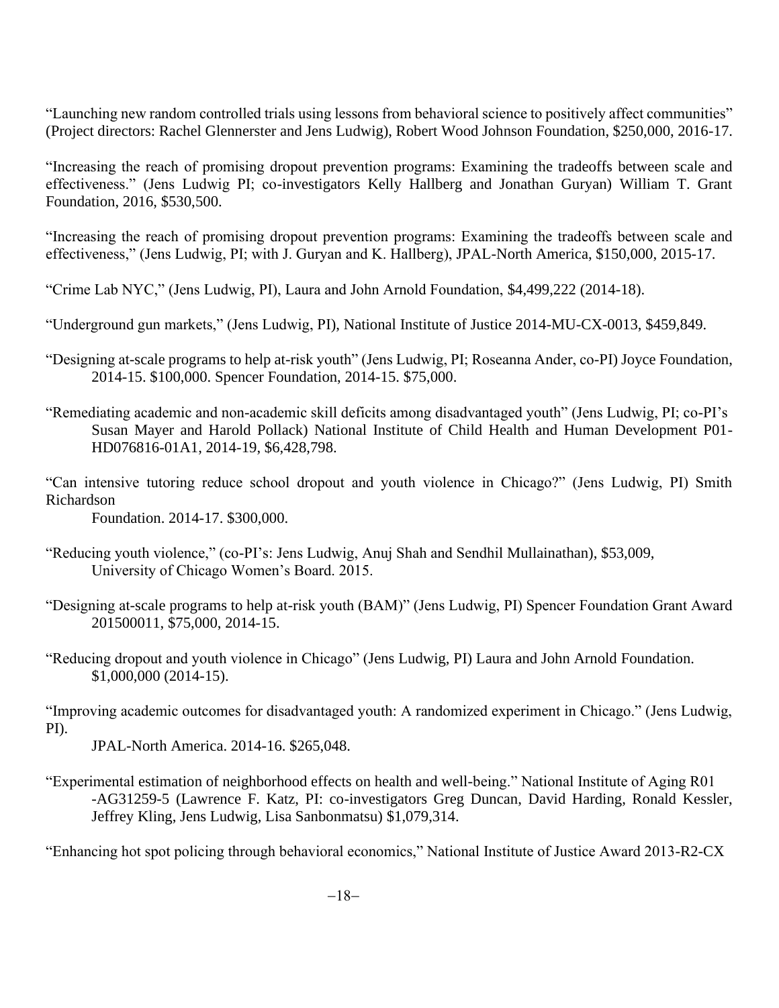"Launching new random controlled trials using lessons from behavioral science to positively affect communities" (Project directors: Rachel Glennerster and Jens Ludwig), Robert Wood Johnson Foundation, \$250,000, 2016-17.

"Increasing the reach of promising dropout prevention programs: Examining the tradeoffs between scale and effectiveness." (Jens Ludwig PI; co-investigators Kelly Hallberg and Jonathan Guryan) William T. Grant Foundation, 2016, \$530,500.

"Increasing the reach of promising dropout prevention programs: Examining the tradeoffs between scale and effectiveness," (Jens Ludwig, PI; with J. Guryan and K. Hallberg), JPAL-North America, \$150,000, 2015-17.

"Crime Lab NYC," (Jens Ludwig, PI), Laura and John Arnold Foundation, \$4,499,222 (2014-18).

"Underground gun markets," (Jens Ludwig, PI), National Institute of Justice 2014-MU-CX-0013, \$459,849.

- "Designing at-scale programs to help at-risk youth" (Jens Ludwig, PI; Roseanna Ander, co-PI) Joyce Foundation, 2014-15. \$100,000. Spencer Foundation, 2014-15. \$75,000.
- "Remediating academic and non-academic skill deficits among disadvantaged youth" (Jens Ludwig, PI; co-PI's Susan Mayer and Harold Pollack) National Institute of Child Health and Human Development P01- HD076816-01A1, 2014-19, \$6,428,798.
- "Can intensive tutoring reduce school dropout and youth violence in Chicago?" (Jens Ludwig, PI) Smith Richardson

Foundation. 2014-17. \$300,000.

- "Reducing youth violence," (co-PI's: Jens Ludwig, Anuj Shah and Sendhil Mullainathan), \$53,009, University of Chicago Women's Board. 2015.
- "Designing at-scale programs to help at-risk youth (BAM)" (Jens Ludwig, PI) Spencer Foundation Grant Award 201500011, \$75,000, 2014-15.
- "Reducing dropout and youth violence in Chicago" (Jens Ludwig, PI) Laura and John Arnold Foundation. \$1,000,000 (2014-15).

"Improving academic outcomes for disadvantaged youth: A randomized experiment in Chicago." (Jens Ludwig, PI).

JPAL-North America. 2014-16. \$265,048.

"Experimental estimation of neighborhood effects on health and well-being." National Institute of Aging R01 -AG31259-5 (Lawrence F. Katz, PI: co-investigators Greg Duncan, David Harding, Ronald Kessler, Jeffrey Kling, Jens Ludwig, Lisa Sanbonmatsu) \$1,079,314.

"Enhancing hot spot policing through behavioral economics," National Institute of Justice Award 2013-R2-CX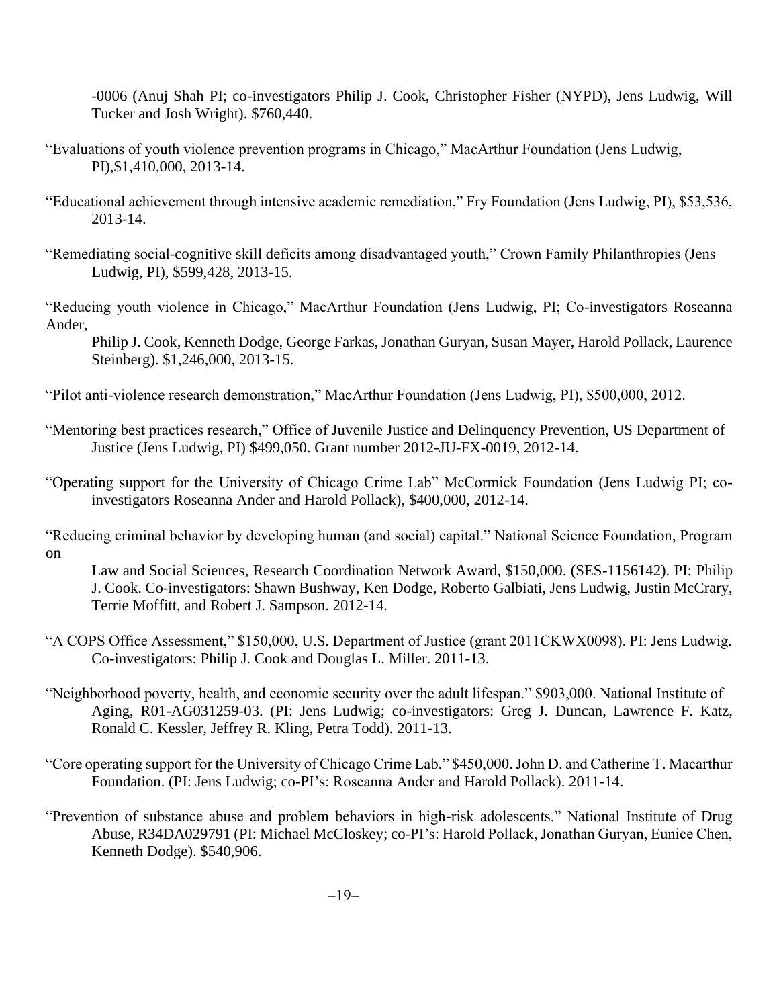-0006 (Anuj Shah PI; co-investigators Philip J. Cook, Christopher Fisher (NYPD), Jens Ludwig, Will Tucker and Josh Wright). \$760,440.

- "Evaluations of youth violence prevention programs in Chicago," MacArthur Foundation (Jens Ludwig, PI),\$1,410,000, 2013-14.
- "Educational achievement through intensive academic remediation," Fry Foundation (Jens Ludwig, PI), \$53,536, 2013-14.
- "Remediating social-cognitive skill deficits among disadvantaged youth," Crown Family Philanthropies (Jens Ludwig, PI), \$599,428, 2013-15.

"Reducing youth violence in Chicago," MacArthur Foundation (Jens Ludwig, PI; Co-investigators Roseanna Ander,

Philip J. Cook, Kenneth Dodge, George Farkas, Jonathan Guryan, Susan Mayer, Harold Pollack, Laurence Steinberg). \$1,246,000, 2013-15.

"Pilot anti-violence research demonstration," MacArthur Foundation (Jens Ludwig, PI), \$500,000, 2012.

- "Mentoring best practices research," Office of Juvenile Justice and Delinquency Prevention, US Department of Justice (Jens Ludwig, PI) \$499,050. Grant number 2012-JU-FX-0019, 2012-14.
- "Operating support for the University of Chicago Crime Lab" McCormick Foundation (Jens Ludwig PI; coinvestigators Roseanna Ander and Harold Pollack), \$400,000, 2012-14.

"Reducing criminal behavior by developing human (and social) capital." National Science Foundation, Program on

Law and Social Sciences, Research Coordination Network Award, \$150,000. (SES-1156142). PI: Philip J. Cook. Co-investigators: Shawn Bushway, Ken Dodge, Roberto Galbiati, Jens Ludwig, Justin McCrary, Terrie Moffitt, and Robert J. Sampson. 2012-14.

- "A COPS Office Assessment," \$150,000, U.S. Department of Justice (grant 2011CKWX0098). PI: Jens Ludwig. Co-investigators: Philip J. Cook and Douglas L. Miller. 2011-13.
- "Neighborhood poverty, health, and economic security over the adult lifespan." \$903,000. National Institute of Aging, R01-AG031259-03. (PI: Jens Ludwig; co-investigators: Greg J. Duncan, Lawrence F. Katz, Ronald C. Kessler, Jeffrey R. Kling, Petra Todd). 2011-13.
- "Core operating support for the University of Chicago Crime Lab." \$450,000. John D. and Catherine T. Macarthur Foundation. (PI: Jens Ludwig; co-PI's: Roseanna Ander and Harold Pollack). 2011-14.
- "Prevention of substance abuse and problem behaviors in high-risk adolescents." National Institute of Drug Abuse, R34DA029791 (PI: Michael McCloskey; co-PI's: Harold Pollack, Jonathan Guryan, Eunice Chen, Kenneth Dodge). \$540,906.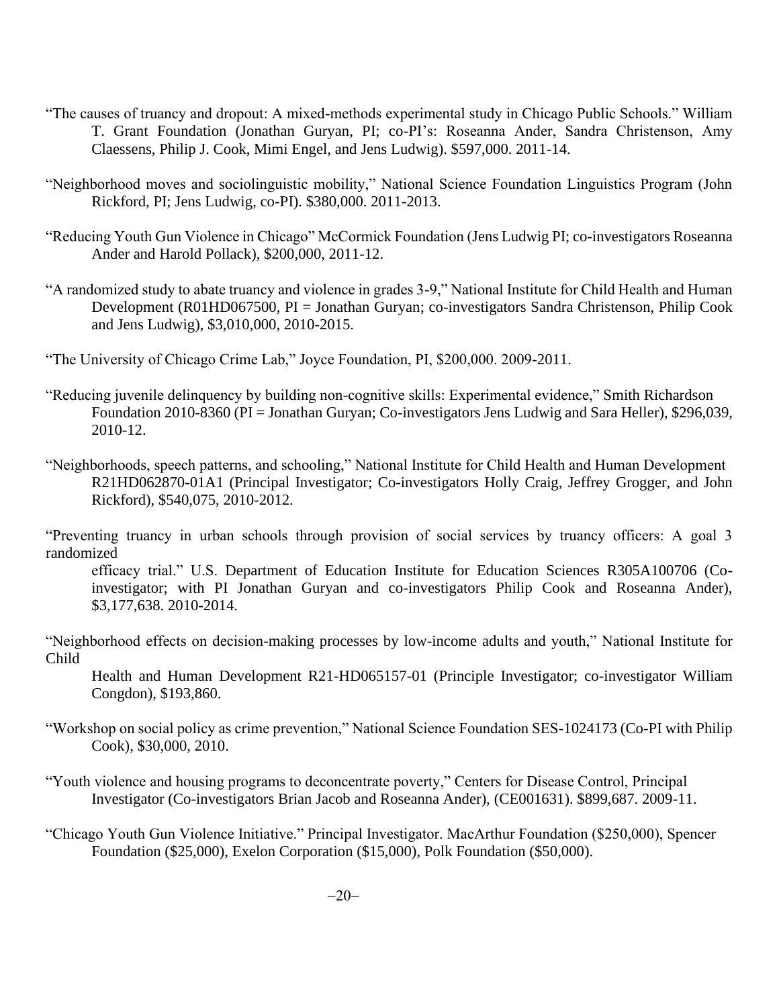- "The causes of truancy and dropout: A mixed-methods experimental study in Chicago Public Schools." William T. Grant Foundation (Jonathan Guryan, PI; co-PI's: Roseanna Ander, Sandra Christenson, Amy Claessens, Philip J. Cook, Mimi Engel, and Jens Ludwig). \$597,000. 2011-14.
- "Neighborhood moves and sociolinguistic mobility," National Science Foundation Linguistics Program (John Rickford, PI; Jens Ludwig, co-PI). \$380,000. 2011-2013.
- "Reducing Youth Gun Violence in Chicago" McCormick Foundation (Jens Ludwig PI; co-investigators Roseanna Ander and Harold Pollack), \$200,000, 2011-12.
- "A randomized study to abate truancy and violence in grades 3-9," National Institute for Child Health and Human Development (R01HD067500, PI = Jonathan Guryan; co-investigators Sandra Christenson, Philip Cook and Jens Ludwig), \$3,010,000, 2010-2015.
- "The University of Chicago Crime Lab," Joyce Foundation, PI, \$200,000. 2009-2011.
- "Reducing juvenile delinquency by building non-cognitive skills: Experimental evidence," Smith Richardson Foundation 2010-8360 (PI = Jonathan Guryan; Co-investigators Jens Ludwig and Sara Heller), \$296,039, 2010-12.
- "Neighborhoods, speech patterns, and schooling," National Institute for Child Health and Human Development R21HD062870-01A1 (Principal Investigator; Co-investigators Holly Craig, Jeffrey Grogger, and John Rickford), \$540,075, 2010-2012.

"Preventing truancy in urban schools through provision of social services by truancy officers: A goal 3 randomized

efficacy trial." U.S. Department of Education Institute for Education Sciences R305A100706 (Coinvestigator; with PI Jonathan Guryan and co-investigators Philip Cook and Roseanna Ander), \$3,177,638. 2010-2014.

"Neighborhood effects on decision-making processes by low-income adults and youth," National Institute for Child

Health and Human Development R21-HD065157-01 (Principle Investigator; co-investigator William Congdon), \$193,860.

- "Workshop on social policy as crime prevention," National Science Foundation SES-1024173 (Co-PI with Philip Cook), \$30,000, 2010.
- "Youth violence and housing programs to deconcentrate poverty," Centers for Disease Control, Principal Investigator (Co-investigators Brian Jacob and Roseanna Ander), (CE001631). \$899,687. 2009-11.
- "Chicago Youth Gun Violence Initiative." Principal Investigator. MacArthur Foundation (\$250,000), Spencer Foundation (\$25,000), Exelon Corporation (\$15,000), Polk Foundation (\$50,000).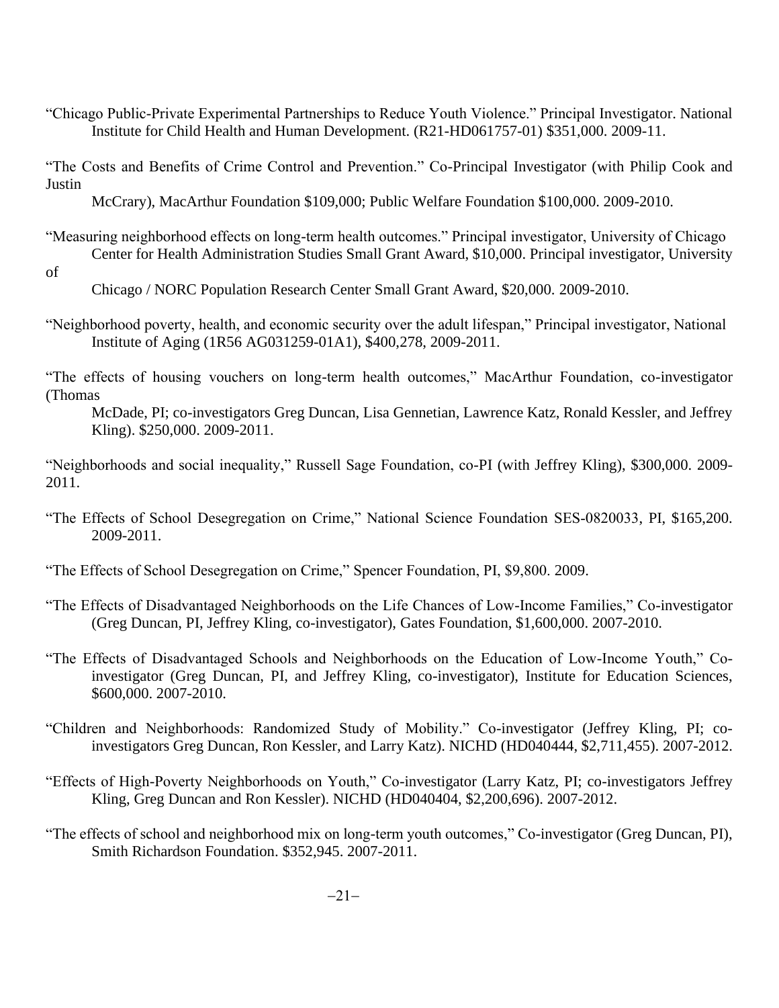"Chicago Public-Private Experimental Partnerships to Reduce Youth Violence." Principal Investigator. National Institute for Child Health and Human Development. (R21-HD061757-01) \$351,000. 2009-11.

"The Costs and Benefits of Crime Control and Prevention." Co-Principal Investigator (with Philip Cook and Justin

McCrary), MacArthur Foundation \$109,000; Public Welfare Foundation \$100,000. 2009-2010.

- "Measuring neighborhood effects on long-term health outcomes." Principal investigator, University of Chicago Center for Health Administration Studies Small Grant Award, \$10,000. Principal investigator, University
- of

Chicago / NORC Population Research Center Small Grant Award, \$20,000. 2009-2010.

"Neighborhood poverty, health, and economic security over the adult lifespan," Principal investigator, National Institute of Aging (1R56 AG031259-01A1), \$400,278, 2009-2011.

"The effects of housing vouchers on long-term health outcomes," MacArthur Foundation, co-investigator (Thomas

McDade, PI; co-investigators Greg Duncan, Lisa Gennetian, Lawrence Katz, Ronald Kessler, and Jeffrey Kling). \$250,000. 2009-2011.

"Neighborhoods and social inequality," Russell Sage Foundation, co-PI (with Jeffrey Kling), \$300,000. 2009- 2011.

- "The Effects of School Desegregation on Crime," National Science Foundation SES-0820033, PI, \$165,200. 2009-2011.
- "The Effects of School Desegregation on Crime," Spencer Foundation, PI, \$9,800. 2009.
- "The Effects of Disadvantaged Neighborhoods on the Life Chances of Low-Income Families," Co-investigator (Greg Duncan, PI, Jeffrey Kling, co-investigator), Gates Foundation, \$1,600,000. 2007-2010.
- "The Effects of Disadvantaged Schools and Neighborhoods on the Education of Low-Income Youth," Coinvestigator (Greg Duncan, PI, and Jeffrey Kling, co-investigator), Institute for Education Sciences, \$600,000. 2007-2010.
- "Children and Neighborhoods: Randomized Study of Mobility." Co-investigator (Jeffrey Kling, PI; coinvestigators Greg Duncan, Ron Kessler, and Larry Katz). NICHD (HD040444, \$2,711,455). 2007-2012.
- "Effects of High-Poverty Neighborhoods on Youth," Co-investigator (Larry Katz, PI; co-investigators Jeffrey Kling, Greg Duncan and Ron Kessler). NICHD (HD040404, \$2,200,696). 2007-2012.
- "The effects of school and neighborhood mix on long-term youth outcomes," Co-investigator (Greg Duncan, PI), Smith Richardson Foundation. \$352,945. 2007-2011.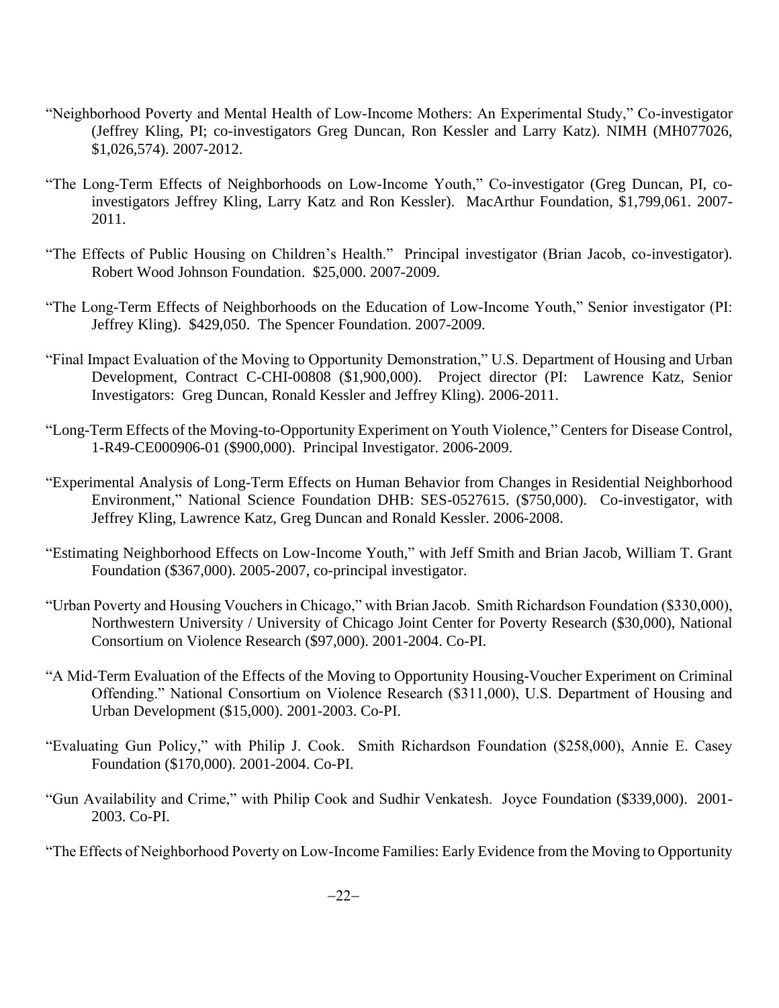- "Neighborhood Poverty and Mental Health of Low-Income Mothers: An Experimental Study," Co-investigator (Jeffrey Kling, PI; co-investigators Greg Duncan, Ron Kessler and Larry Katz). NIMH (MH077026, \$1,026,574). 2007-2012.
- "The Long-Term Effects of Neighborhoods on Low-Income Youth," Co-investigator (Greg Duncan, PI, coinvestigators Jeffrey Kling, Larry Katz and Ron Kessler). MacArthur Foundation, \$1,799,061. 2007- 2011.
- "The Effects of Public Housing on Children's Health." Principal investigator (Brian Jacob, co-investigator). Robert Wood Johnson Foundation. \$25,000. 2007-2009.
- "The Long-Term Effects of Neighborhoods on the Education of Low-Income Youth," Senior investigator (PI: Jeffrey Kling). \$429,050. The Spencer Foundation. 2007-2009.
- "Final Impact Evaluation of the Moving to Opportunity Demonstration," U.S. Department of Housing and Urban Development, Contract C-CHI-00808 (\$1,900,000). Project director (PI: Lawrence Katz, Senior Investigators: Greg Duncan, Ronald Kessler and Jeffrey Kling). 2006-2011.
- "Long-Term Effects of the Moving-to-Opportunity Experiment on Youth Violence," Centers for Disease Control, 1-R49-CE000906-01 (\$900,000). Principal Investigator. 2006-2009.
- "Experimental Analysis of Long-Term Effects on Human Behavior from Changes in Residential Neighborhood Environment," National Science Foundation DHB: SES-0527615. (\$750,000). Co-investigator, with Jeffrey Kling, Lawrence Katz, Greg Duncan and Ronald Kessler. 2006-2008.
- "Estimating Neighborhood Effects on Low-Income Youth," with Jeff Smith and Brian Jacob, William T. Grant Foundation (\$367,000). 2005-2007, co-principal investigator.
- "Urban Poverty and Housing Vouchers in Chicago," with Brian Jacob. Smith Richardson Foundation (\$330,000), Northwestern University / University of Chicago Joint Center for Poverty Research (\$30,000), National Consortium on Violence Research (\$97,000). 2001-2004. Co-PI.
- "A Mid-Term Evaluation of the Effects of the Moving to Opportunity Housing-Voucher Experiment on Criminal Offending." National Consortium on Violence Research (\$311,000), U.S. Department of Housing and Urban Development (\$15,000). 2001-2003. Co-PI.
- "Evaluating Gun Policy," with Philip J. Cook. Smith Richardson Foundation (\$258,000), Annie E. Casey Foundation (\$170,000). 2001-2004. Co-PI.
- "Gun Availability and Crime," with Philip Cook and Sudhir Venkatesh. Joyce Foundation (\$339,000). 2001- 2003. Co-PI.

"The Effects of Neighborhood Poverty on Low-Income Families: Early Evidence from the Moving to Opportunity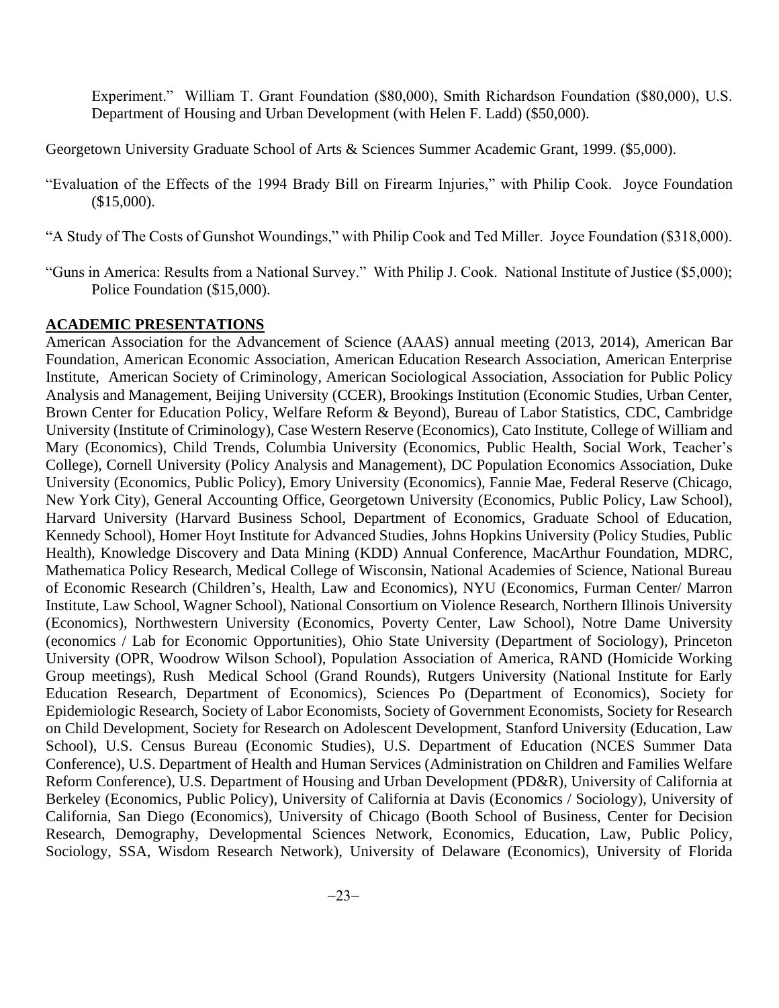Experiment." William T. Grant Foundation (\$80,000), Smith Richardson Foundation (\$80,000), U.S. Department of Housing and Urban Development (with Helen F. Ladd) (\$50,000).

Georgetown University Graduate School of Arts & Sciences Summer Academic Grant, 1999. (\$5,000).

- "Evaluation of the Effects of the 1994 Brady Bill on Firearm Injuries," with Philip Cook. Joyce Foundation (\$15,000).
- "A Study of The Costs of Gunshot Woundings," with Philip Cook and Ted Miller. Joyce Foundation (\$318,000).
- "Guns in America: Results from a National Survey." With Philip J. Cook. National Institute of Justice (\$5,000); Police Foundation (\$15,000).

#### **ACADEMIC PRESENTATIONS**

American Association for the Advancement of Science (AAAS) annual meeting (2013, 2014), American Bar Foundation, American Economic Association, American Education Research Association, American Enterprise Institute, American Society of Criminology, American Sociological Association, Association for Public Policy Analysis and Management, Beijing University (CCER), Brookings Institution (Economic Studies, Urban Center, Brown Center for Education Policy, Welfare Reform & Beyond), Bureau of Labor Statistics, CDC, Cambridge University (Institute of Criminology), Case Western Reserve (Economics), Cato Institute, College of William and Mary (Economics), Child Trends, Columbia University (Economics, Public Health, Social Work, Teacher's College), Cornell University (Policy Analysis and Management), DC Population Economics Association, Duke University (Economics, Public Policy), Emory University (Economics), Fannie Mae, Federal Reserve (Chicago, New York City), General Accounting Office, Georgetown University (Economics, Public Policy, Law School), Harvard University (Harvard Business School, Department of Economics, Graduate School of Education, Kennedy School), Homer Hoyt Institute for Advanced Studies, Johns Hopkins University (Policy Studies, Public Health), Knowledge Discovery and Data Mining (KDD) Annual Conference, MacArthur Foundation, MDRC, Mathematica Policy Research, Medical College of Wisconsin, National Academies of Science, National Bureau of Economic Research (Children's, Health, Law and Economics), NYU (Economics, Furman Center/ Marron Institute, Law School, Wagner School), National Consortium on Violence Research, Northern Illinois University (Economics), Northwestern University (Economics, Poverty Center, Law School), Notre Dame University (economics / Lab for Economic Opportunities), Ohio State University (Department of Sociology), Princeton University (OPR, Woodrow Wilson School), Population Association of America, RAND (Homicide Working Group meetings), Rush Medical School (Grand Rounds), Rutgers University (National Institute for Early Education Research, Department of Economics), Sciences Po (Department of Economics), Society for Epidemiologic Research, Society of Labor Economists, Society of Government Economists, Society for Research on Child Development, Society for Research on Adolescent Development, Stanford University (Education, Law School), U.S. Census Bureau (Economic Studies), U.S. Department of Education (NCES Summer Data Conference), U.S. Department of Health and Human Services (Administration on Children and Families Welfare Reform Conference), U.S. Department of Housing and Urban Development (PD&R), University of California at Berkeley (Economics, Public Policy), University of California at Davis (Economics / Sociology), University of California, San Diego (Economics), University of Chicago (Booth School of Business, Center for Decision Research, Demography, Developmental Sciences Network, Economics, Education, Law, Public Policy, Sociology, SSA, Wisdom Research Network), University of Delaware (Economics), University of Florida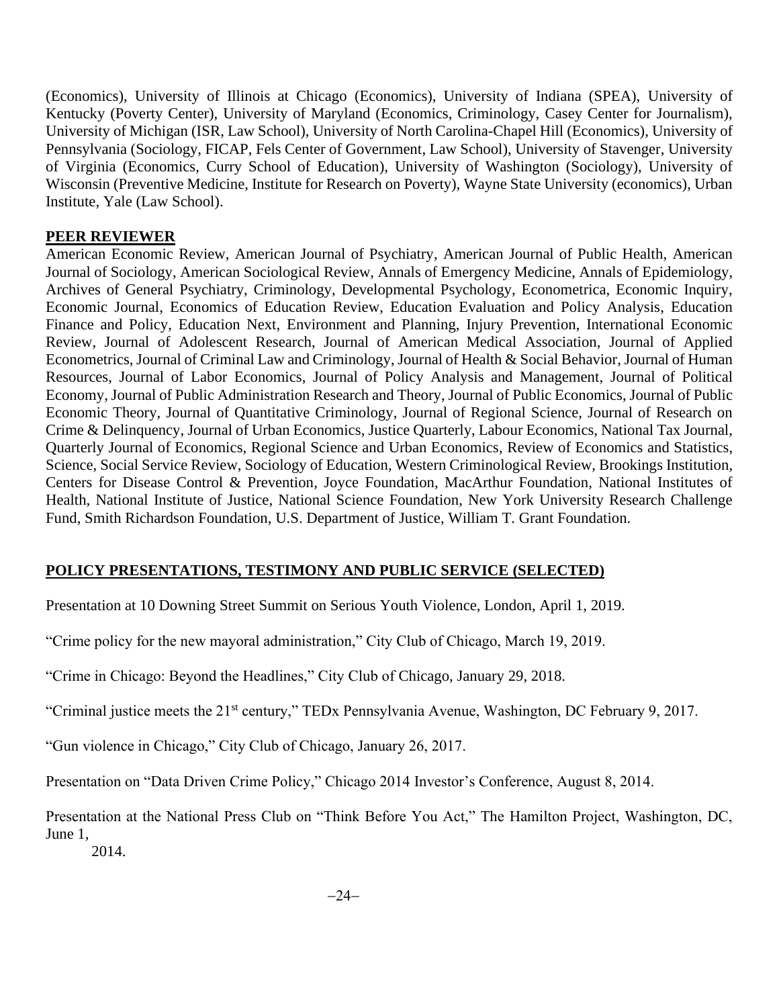(Economics), University of Illinois at Chicago (Economics), University of Indiana (SPEA), University of Kentucky (Poverty Center), University of Maryland (Economics, Criminology, Casey Center for Journalism), University of Michigan (ISR, Law School), University of North Carolina-Chapel Hill (Economics), University of Pennsylvania (Sociology, FICAP, Fels Center of Government, Law School), University of Stavenger, University of Virginia (Economics, Curry School of Education), University of Washington (Sociology), University of Wisconsin (Preventive Medicine, Institute for Research on Poverty), Wayne State University (economics), Urban Institute, Yale (Law School).

### **PEER REVIEWER**

American Economic Review, American Journal of Psychiatry, American Journal of Public Health, American Journal of Sociology, American Sociological Review, Annals of Emergency Medicine, Annals of Epidemiology, Archives of General Psychiatry, Criminology, Developmental Psychology, Econometrica, Economic Inquiry, Economic Journal, Economics of Education Review, Education Evaluation and Policy Analysis, Education Finance and Policy, Education Next, Environment and Planning, Injury Prevention, International Economic Review, Journal of Adolescent Research, Journal of American Medical Association, Journal of Applied Econometrics, Journal of Criminal Law and Criminology, Journal of Health & Social Behavior, Journal of Human Resources, Journal of Labor Economics, Journal of Policy Analysis and Management, Journal of Political Economy, Journal of Public Administration Research and Theory, Journal of Public Economics, Journal of Public Economic Theory, Journal of Quantitative Criminology, Journal of Regional Science, Journal of Research on Crime & Delinquency, Journal of Urban Economics, Justice Quarterly, Labour Economics, National Tax Journal, Quarterly Journal of Economics, Regional Science and Urban Economics, Review of Economics and Statistics, Science, Social Service Review, Sociology of Education, Western Criminological Review, Brookings Institution, Centers for Disease Control & Prevention, Joyce Foundation, MacArthur Foundation, National Institutes of Health, National Institute of Justice, National Science Foundation, New York University Research Challenge Fund, Smith Richardson Foundation, U.S. Department of Justice, William T. Grant Foundation.

## **POLICY PRESENTATIONS, TESTIMONY AND PUBLIC SERVICE (SELECTED)**

Presentation at 10 Downing Street Summit on Serious Youth Violence, London, April 1, 2019.

"Crime policy for the new mayoral administration," City Club of Chicago, March 19, 2019.

"Crime in Chicago: Beyond the Headlines," City Club of Chicago, January 29, 2018.

"Criminal justice meets the 21st century," TEDx Pennsylvania Avenue, Washington, DC February 9, 2017.

"Gun violence in Chicago," City Club of Chicago, January 26, 2017.

Presentation on "Data Driven Crime Policy," Chicago 2014 Investor's Conference, August 8, 2014.

Presentation at the National Press Club on "Think Before You Act," The Hamilton Project, Washington, DC, June 1,

2014.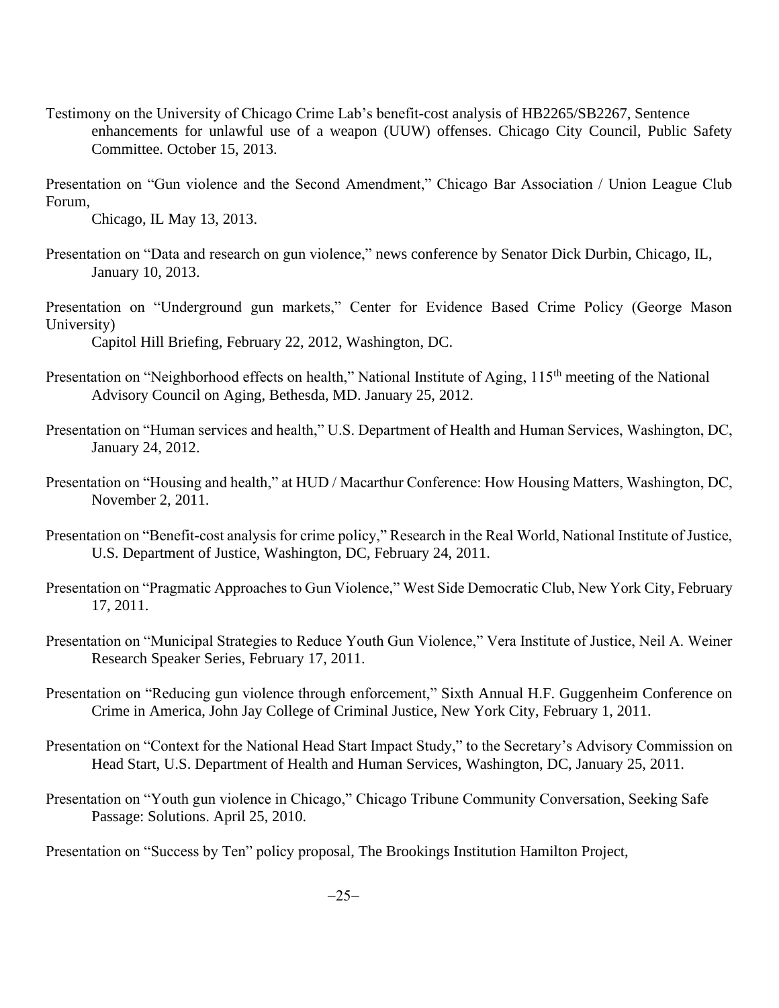Testimony on the University of Chicago Crime Lab's benefit-cost analysis of HB2265/SB2267, Sentence enhancements for unlawful use of a weapon (UUW) offenses. Chicago City Council, Public Safety Committee. October 15, 2013.

Presentation on "Gun violence and the Second Amendment," Chicago Bar Association / Union League Club Forum,

Chicago, IL May 13, 2013.

- Presentation on "Data and research on gun violence," news conference by Senator Dick Durbin, Chicago, IL, January 10, 2013.
- Presentation on "Underground gun markets," Center for Evidence Based Crime Policy (George Mason University)

Capitol Hill Briefing, February 22, 2012, Washington, DC.

- Presentation on "Neighborhood effects on health," National Institute of Aging, 115<sup>th</sup> meeting of the National Advisory Council on Aging, Bethesda, MD. January 25, 2012.
- Presentation on "Human services and health," U.S. Department of Health and Human Services, Washington, DC, January 24, 2012.
- Presentation on "Housing and health," at HUD / Macarthur Conference: How Housing Matters, Washington, DC, November 2, 2011.
- Presentation on "Benefit-cost analysis for crime policy," Research in the Real World, National Institute of Justice, U.S. Department of Justice, Washington, DC, February 24, 2011.
- Presentation on "Pragmatic Approaches to Gun Violence," West Side Democratic Club, New York City, February 17, 2011.
- Presentation on "Municipal Strategies to Reduce Youth Gun Violence," Vera Institute of Justice, Neil A. Weiner Research Speaker Series, February 17, 2011.
- Presentation on "Reducing gun violence through enforcement," Sixth Annual H.F. Guggenheim Conference on Crime in America, John Jay College of Criminal Justice, New York City, February 1, 2011.
- Presentation on "Context for the National Head Start Impact Study," to the Secretary's Advisory Commission on Head Start, U.S. Department of Health and Human Services, Washington, DC, January 25, 2011.
- Presentation on "Youth gun violence in Chicago," Chicago Tribune Community Conversation, Seeking Safe Passage: Solutions. April 25, 2010.

Presentation on "Success by Ten" policy proposal, The Brookings Institution Hamilton Project,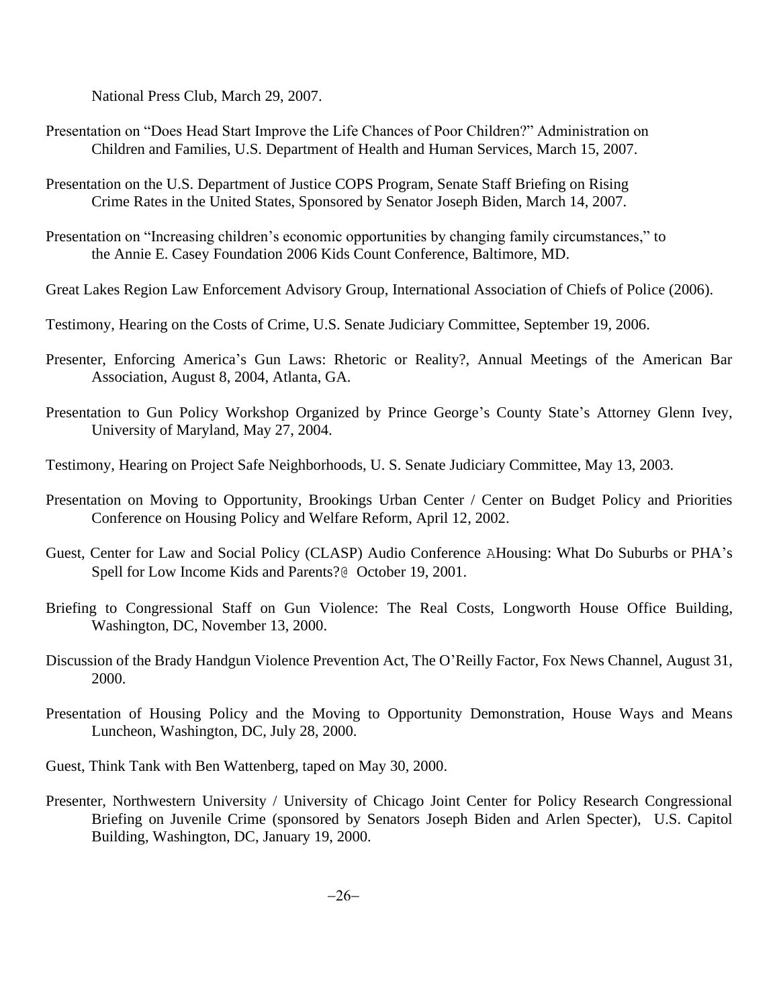National Press Club, March 29, 2007.

- Presentation on "Does Head Start Improve the Life Chances of Poor Children?" Administration on Children and Families, U.S. Department of Health and Human Services, March 15, 2007.
- Presentation on the U.S. Department of Justice COPS Program, Senate Staff Briefing on Rising Crime Rates in the United States, Sponsored by Senator Joseph Biden, March 14, 2007.
- Presentation on "Increasing children's economic opportunities by changing family circumstances," to the Annie E. Casey Foundation 2006 Kids Count Conference, Baltimore, MD.
- Great Lakes Region Law Enforcement Advisory Group, International Association of Chiefs of Police (2006).
- Testimony, Hearing on the Costs of Crime, U.S. Senate Judiciary Committee, September 19, 2006.
- Presenter, Enforcing America's Gun Laws: Rhetoric or Reality?, Annual Meetings of the American Bar Association, August 8, 2004, Atlanta, GA.
- Presentation to Gun Policy Workshop Organized by Prince George's County State's Attorney Glenn Ivey, University of Maryland, May 27, 2004.
- Testimony, Hearing on Project Safe Neighborhoods, U. S. Senate Judiciary Committee, May 13, 2003.
- Presentation on Moving to Opportunity, Brookings Urban Center / Center on Budget Policy and Priorities Conference on Housing Policy and Welfare Reform, April 12, 2002.
- Guest, Center for Law and Social Policy (CLASP) Audio Conference AHousing: What Do Suburbs or PHA's Spell for Low Income Kids and Parents?@ October 19, 2001.
- Briefing to Congressional Staff on Gun Violence: The Real Costs, Longworth House Office Building, Washington, DC, November 13, 2000.
- Discussion of the Brady Handgun Violence Prevention Act, The O'Reilly Factor, Fox News Channel, August 31, 2000.
- Presentation of Housing Policy and the Moving to Opportunity Demonstration, House Ways and Means Luncheon, Washington, DC, July 28, 2000.
- Guest, Think Tank with Ben Wattenberg, taped on May 30, 2000.
- Presenter, Northwestern University / University of Chicago Joint Center for Policy Research Congressional Briefing on Juvenile Crime (sponsored by Senators Joseph Biden and Arlen Specter), U.S. Capitol Building, Washington, DC, January 19, 2000.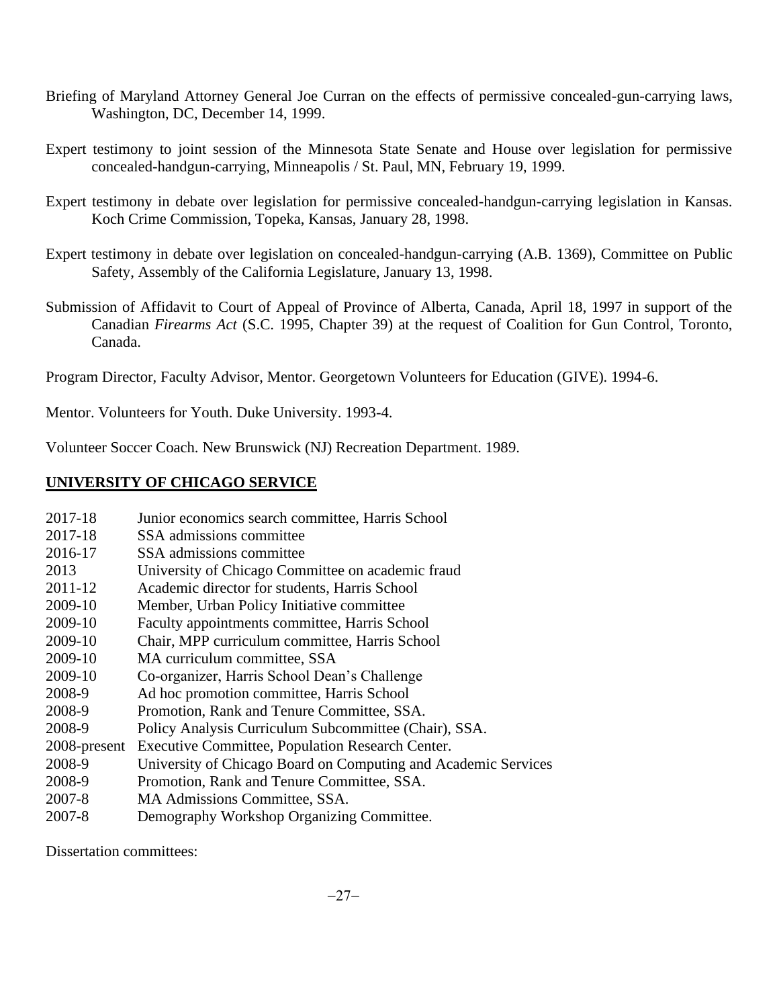- Briefing of Maryland Attorney General Joe Curran on the effects of permissive concealed-gun-carrying laws, Washington, DC, December 14, 1999.
- Expert testimony to joint session of the Minnesota State Senate and House over legislation for permissive concealed-handgun-carrying, Minneapolis / St. Paul, MN, February 19, 1999.
- Expert testimony in debate over legislation for permissive concealed-handgun-carrying legislation in Kansas. Koch Crime Commission, Topeka, Kansas, January 28, 1998.
- Expert testimony in debate over legislation on concealed-handgun-carrying (A.B. 1369), Committee on Public Safety, Assembly of the California Legislature, January 13, 1998.
- Submission of Affidavit to Court of Appeal of Province of Alberta, Canada, April 18, 1997 in support of the Canadian *Firearms Act* (S.C. 1995, Chapter 39) at the request of Coalition for Gun Control, Toronto, Canada.

Program Director, Faculty Advisor, Mentor. Georgetown Volunteers for Education (GIVE). 1994-6.

Mentor. Volunteers for Youth. Duke University. 1993-4.

Volunteer Soccer Coach. New Brunswick (NJ) Recreation Department. 1989.

# **UNIVERSITY OF CHICAGO SERVICE**

- 2017-18 Junior economics search committee, Harris School
- 2017-18 SSA admissions committee
- 2016-17 SSA admissions committee
- 2013 University of Chicago Committee on academic fraud
- 2011-12 Academic director for students, Harris School
- 2009-10 Member, Urban Policy Initiative committee
- 2009-10 Faculty appointments committee, Harris School
- 2009-10 Chair, MPP curriculum committee, Harris School
- 2009-10 MA curriculum committee, SSA
- 2009-10 Co-organizer, Harris School Dean's Challenge
- 2008-9 Ad hoc promotion committee, Harris School
- 2008-9 Promotion, Rank and Tenure Committee, SSA.
- 2008-9 Policy Analysis Curriculum Subcommittee (Chair), SSA.
- 2008-present Executive Committee, Population Research Center.
- 2008-9 University of Chicago Board on Computing and Academic Services
- 2008-9 Promotion, Rank and Tenure Committee, SSA.
- 2007-8 MA Admissions Committee, SSA.
- 2007-8 Demography Workshop Organizing Committee.

Dissertation committees: